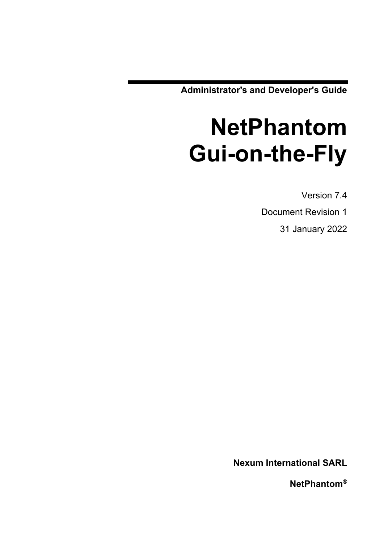**Administrator's and Developer's Guide**

# **NetPhantom Gui-on-the-Fly**

Version 7.4

Document Revision 1

31 January 2022

**Nexum International SARL**

**NetPhantom®**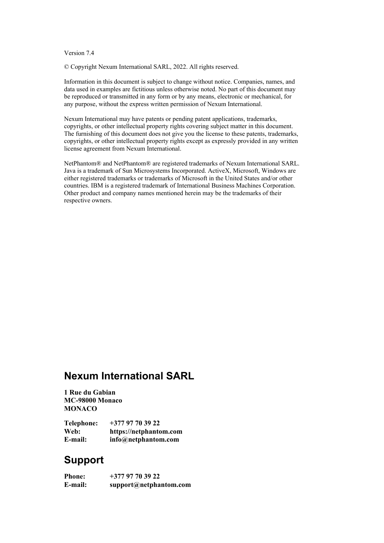### Version 7.4

© Copyright Nexum International SARL, 2022. All rights reserved.

Information in this document is subject to change without notice. Companies, names, and data used in examples are fictitious unless otherwise noted. No part of this document may be reproduced or transmitted in any form or by any means, electronic or mechanical, for any purpose, without the express written permission of Nexum International.

Nexum International may have patents or pending patent applications, trademarks, copyrights, or other intellectual property rights covering subject matter in this document. The furnishing of this document does not give you the license to these patents, trademarks, copyrights, or other intellectual property rights except as expressly provided in any written license agreement from Nexum International.

NetPhantom® and NetPhantom® are registered trademarks of Nexum International SARL. Java is a trademark of Sun Microsystems Incorporated. ActiveX, Microsoft, Windows are either registered trademarks or trademarks of Microsoft in the United States and/or other countries. IBM is a registered trademark of International Business Machines Corporation. Other product and company names mentioned herein may be the trademarks of their respective owners.

# **Nexum International SARL**

**1 Rue du Gabian MC-98000 Monaco MONACO**

| <b>Telephone:</b> | $+37797703922$         |
|-------------------|------------------------|
| Web:              | https://netphantom.com |
| E-mail:           | info@netphantom.com    |

## **Support**

| E-mail:       | support@netphantom.com |
|---------------|------------------------|
| <b>Phone:</b> | $+37797703922$         |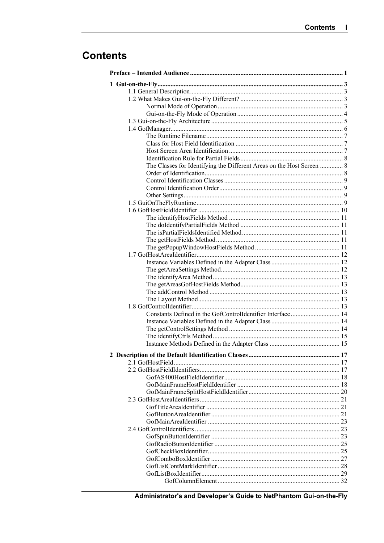# **Contents**

| The Classes for Identifying the Different Areas on the Host Screen  8 |  |
|-----------------------------------------------------------------------|--|
|                                                                       |  |
|                                                                       |  |
|                                                                       |  |
|                                                                       |  |
|                                                                       |  |
|                                                                       |  |
|                                                                       |  |
|                                                                       |  |
|                                                                       |  |
|                                                                       |  |
|                                                                       |  |
|                                                                       |  |
|                                                                       |  |
|                                                                       |  |
|                                                                       |  |
|                                                                       |  |
|                                                                       |  |
|                                                                       |  |
|                                                                       |  |
| Constants Defined in the GofControlIdentifier Interface 14            |  |
|                                                                       |  |
|                                                                       |  |
|                                                                       |  |
|                                                                       |  |
|                                                                       |  |
|                                                                       |  |
|                                                                       |  |
|                                                                       |  |
|                                                                       |  |
|                                                                       |  |
|                                                                       |  |
|                                                                       |  |
|                                                                       |  |
|                                                                       |  |
|                                                                       |  |
|                                                                       |  |
|                                                                       |  |
|                                                                       |  |
|                                                                       |  |
|                                                                       |  |
|                                                                       |  |
|                                                                       |  |

Administrator's and Developer's Guide to NetPhantom Gui-on-the-Fly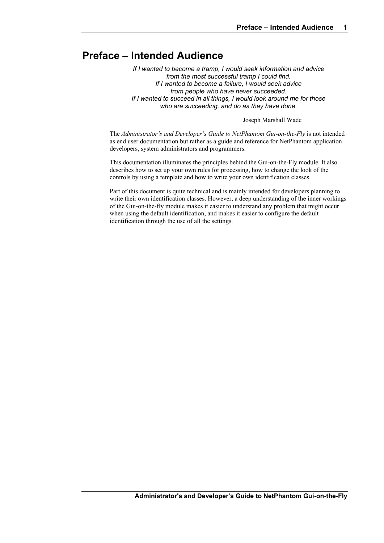# **Preface – Intended Audience**

*If I wanted to become a tramp, I would seek information and advice from the most successful tramp I could find. If I wanted to become a failure, I would seek advice from people who have never succeeded. If I wanted to succeed in all things, I would look around me for those who are succeeding, and do as they have done.*

Joseph Marshall Wade

The *Administrator's and Developer's Guide to NetPhantom Gui-on-the-Fly* is not intended as end user documentation but rather as a guide and reference for NetPhantom application developers, system administrators and programmers.

This documentation illuminates the principles behind the Gui-on-the-Fly module. It also describes how to set up your own rules for processing, how to change the look of the controls by using a template and how to write your own identification classes.

Part of this document is quite technical and is mainly intended for developers planning to write their own identification classes. However, a deep understanding of the inner workings of the Gui-on-the-fly module makes it easier to understand any problem that might occur when using the default identification, and makes it easier to configure the default identification through the use of all the settings.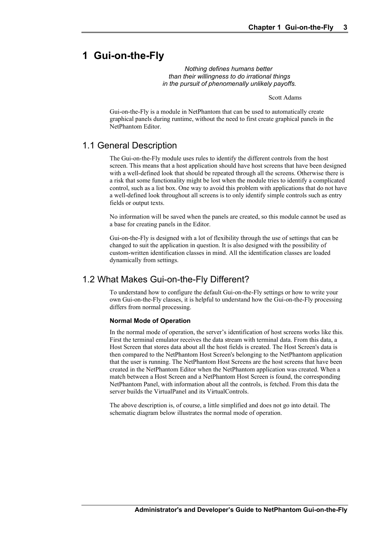# **1 Gui-on-the-Fly**

*Nothing defines humans better than their willingness to do irrational things in the pursuit of phenomenally unlikely payoffs.*

Scott Adams

Gui-on-the-Fly is a module in NetPhantom that can be used to automatically create graphical panels during runtime, without the need to first create graphical panels in the NetPhantom Editor.

### 1.1 General Description

The Gui-on-the-Fly module uses rules to identify the different controls from the host screen. This means that a host application should have host screens that have been designed with a well-defined look that should be repeated through all the screens. Otherwise there is a risk that some functionality might be lost when the module tries to identify a complicated control, such as a list box. One way to avoid this problem with applications that do not have a well-defined look throughout all screens is to only identify simple controls such as entry fields or output texts.

No information will be saved when the panels are created, so this module cannot be used as a base for creating panels in the Editor.

Gui-on-the-Fly is designed with a lot of flexibility through the use of settings that can be changed to suit the application in question. It is also designed with the possibility of custom-written identification classes in mind. All the identification classes are loaded dynamically from settings.

### 1.2 What Makes Gui-on-the-Fly Different?

To understand how to configure the default Gui-on-the-Fly settings or how to write your own Gui-on-the-Fly classes, it is helpful to understand how the Gui-on-the-Fly processing differs from normal processing.

### **Normal Mode of Operation**

In the normal mode of operation, the server's identification of host screens works like this. First the terminal emulator receives the data stream with terminal data. From this data, a Host Screen that stores data about all the host fields is created. The Host Screen's data is then compared to the NetPhantom Host Screen's belonging to the NetPhantom application that the user is running. The NetPhantom Host Screens are the host screens that have been created in the NetPhantom Editor when the NetPhantom application was created. When a match between a Host Screen and a NetPhantom Host Screen is found, the corresponding NetPhantom Panel, with information about all the controls, is fetched. From this data the server builds the VirtualPanel and its VirtualControls.

The above description is, of course, a little simplified and does not go into detail. The schematic diagram below illustrates the normal mode of operation.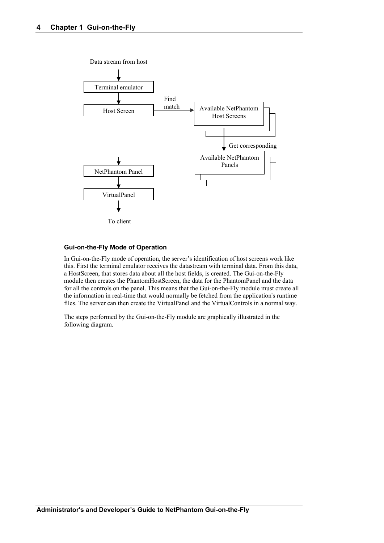

### **Gui-on-the-Fly Mode of Operation**

In Gui-on-the-Fly mode of operation, the server's identification of host screens work like this. First the terminal emulator receives the datastream with terminal data. From this data, a HostScreen, that stores data about all the host fields, is created. The Gui-on-the-Fly module then creates the PhantomHostScreen, the data for the PhantomPanel and the data for all the controls on the panel. This means that the Gui-on-the-Fly module must create all the information in real-time that would normally be fetched from the application's runtime files. The server can then create the VirtualPanel and the VirtualControls in a normal way.

The steps performed by the Gui-on-the-Fly module are graphically illustrated in the following diagram.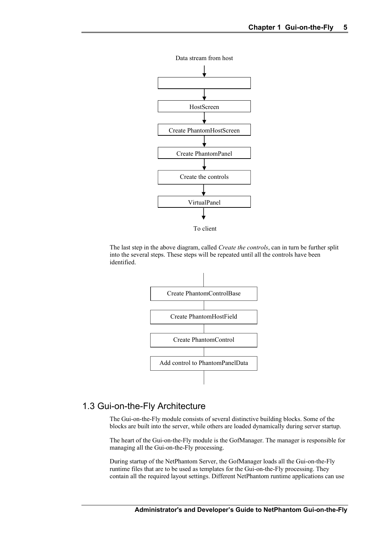

To client

The last step in the above diagram, called *Create the controls*, can in turn be further split into the several steps. These steps will be repeated until all the controls have been identified.



### 1.3 Gui-on-the-Fly Architecture

The Gui-on-the-Fly module consists of several distinctive building blocks. Some of the blocks are built into the server, while others are loaded dynamically during server startup.

The heart of the Gui-on-the-Fly module is the GofManager. The manager is responsible for managing all the Gui-on-the-Fly processing.

During startup of the NetPhantom Server, the GofManager loads all the Gui-on-the-Fly runtime files that are to be used as templates for the Gui-on-the-Fly processing. They contain all the required layout settings. Different NetPhantom runtime applications can use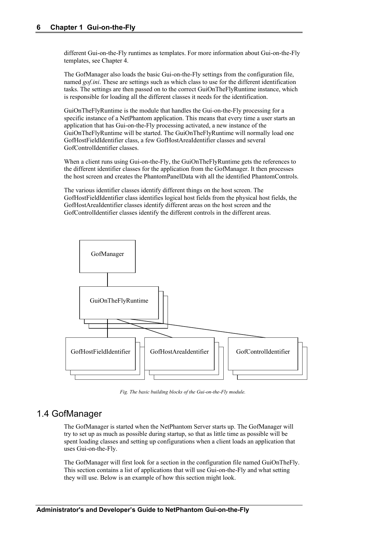different Gui-on-the-Fly runtimes as templates. For more information about Gui-on-the-Fly templates, see Chapter 4.

The GofManager also loads the basic Gui-on-the-Fly settings from the configuration file, named *gof.ini*. These are settings such as which class to use for the different identification tasks. The settings are then passed on to the correct GuiOnTheFlyRuntime instance, which is responsible for loading all the different classes it needs for the identification.

GuiOnTheFlyRuntime is the module that handles the Gui-on-the-Fly processing for a specific instance of a NetPhantom application. This means that every time a user starts an application that has Gui-on-the-Fly processing activated, a new instance of the GuiOnTheFlyRuntime will be started. The GuiOnTheFlyRuntime will normally load one GofHostFieldIdentifier class, a few GofHostAreaIdentifier classes and several GofControlIdentifier classes.

When a client runs using Gui-on-the-Fly, the GuiOnTheFlyRuntime gets the references to the different identifier classes for the application from the GofManager. It then processes the host screen and creates the PhantomPanelData with all the identified PhantomControls.

The various identifier classes identify different things on the host screen. The GofHostFieldIdentifier class identifies logical host fields from the physical host fields, the GofHostAreaIdentifier classes identify different areas on the host screen and the GofControlIdentifier classes identify the different controls in the different areas.



*Fig. The basic building blocks of the Gui-on-the-Fly module.*

### 1.4 GofManager

The GofManager is started when the NetPhantom Server starts up. The GofManager will try to set up as much as possible during startup, so that as little time as possible will be spent loading classes and setting up configurations when a client loads an application that uses Gui-on-the-Fly.

The GofManager will first look for a section in the configuration file named GuiOnTheFly. This section contains a list of applications that will use Gui-on-the-Fly and what setting they will use. Below is an example of how this section might look.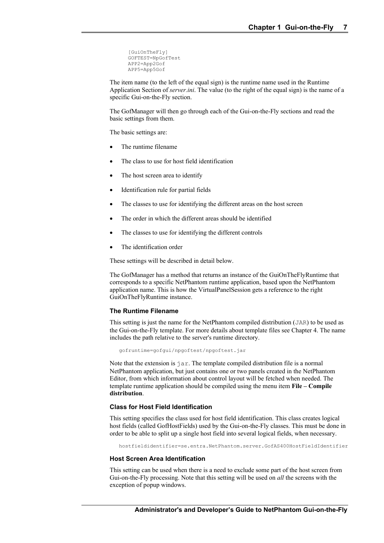```
[GuiOnTheFly]
GOFTEST=NpGofTest
APP2=App2Gof
APP5=App5Gof
```
The item name (to the left of the equal sign) is the runtime name used in the Runtime Application Section of *server.ini*. The value (to the right of the equal sign) is the name of a specific Gui-on-the-Fly section.

The GofManager will then go through each of the Gui-on-the-Fly sections and read the basic settings from them.

The basic settings are:

- The runtime filename
- The class to use for host field identification
- The host screen area to identify
- Identification rule for partial fields
- The classes to use for identifying the different areas on the host screen
- The order in which the different areas should be identified
- The classes to use for identifying the different controls
- The identification order

These settings will be described in detail below.

The GofManager has a method that returns an instance of the GuiOnTheFlyRuntime that corresponds to a specific NetPhantom runtime application, based upon the NetPhantom application name. This is how the VirtualPanelSession gets a reference to the right GuiOnTheFlyRuntime instance.

#### **The Runtime Filename**

This setting is just the name for the NetPhantom compiled distribution (JAR) to be used as the Gui-on-the-Fly template. For more details about template files see Chapter 4. The name includes the path relative to the server's runtime directory.

gofruntime=gofgui/npgoftest/npgoftest.jar

Note that the extension is jar. The template compiled distribution file is a normal NetPhantom application, but just contains one or two panels created in the NetPhantom Editor, from which information about control layout will be fetched when needed. The template runtime application should be compiled using the menu item **File – Compile distribution**.

### **Class for Host Field Identification**

This setting specifies the class used for host field identification. This class creates logical host fields (called GofHostFields) used by the Gui-on-the-Fly classes. This must be done in order to be able to split up a single host field into several logical fields, when necessary.

hostfieldidentifier=se.entra.NetPhantom.server.GofAS400HostFieldIdentifier

#### **Host Screen Area Identification**

This setting can be used when there is a need to exclude some part of the host screen from Gui-on-the-Fly processing. Note that this setting will be used on *all* the screens with the exception of popup windows.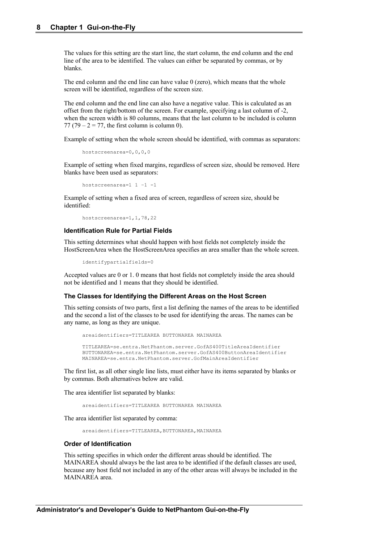The values for this setting are the start line, the start column, the end column and the end line of the area to be identified. The values can either be separated by commas, or by blanks.

The end column and the end line can have value 0 (zero), which means that the whole screen will be identified, regardless of the screen size.

The end column and the end line can also have a negative value. This is calculated as an offset from the right/bottom of the screen. For example, specifying a last column of -2, when the screen width is 80 columns, means that the last column to be included is column 77 (79 –  $2 = 77$ , the first column is column 0).

Example of setting when the whole screen should be identified, with commas as separators:

```
hostscreenarea=0,0,0,0
```
Example of setting when fixed margins, regardless of screen size, should be removed. Here blanks have been used as separators:

hostscreenarea=1 1 –1 -1

Example of setting when a fixed area of screen, regardless of screen size, should be identified:

hostscreenarea=1,1,78,22

#### **Identification Rule for Partial Fields**

This setting determines what should happen with host fields not completely inside the HostScreenArea when the HostScreenArea specifies an area smaller than the whole screen.

identifypartialfields=0

Accepted values are 0 or 1. 0 means that host fields not completely inside the area should not be identified and 1 means that they should be identified.

#### **The Classes for Identifying the Different Areas on the Host Screen**

This setting consists of two parts, first a list defining the names of the areas to be identified and the second a list of the classes to be used for identifying the areas. The names can be any name, as long as they are unique.

```
areaidentifiers=TITLEAREA BUTTONAREA MAINAREA
TITLEAREA=se.entra.NetPhantom.server.GofAS400TitleAreaIdentifier
BUTTONAREA=se.entra.NetPhantom.server.GofAS400ButtonAreaIdentifier
MAINAREA=se.entra.NetPhantom.server.GofMainAreaIdentifier
```
The first list, as all other single line lists, must either have its items separated by blanks or by commas. Both alternatives below are valid.

The area identifier list separated by blanks:

```
areaidentifiers=TITLEAREA BUTTONAREA MAINAREA
```
The area identifier list separated by comma:

areaidentifiers=TITLEAREA, BUTTONAREA, MAINAREA

#### **Order of Identification**

This setting specifies in which order the different areas should be identified. The MAINAREA should always be the last area to be identified if the default classes are used, because any host field not included in any of the other areas will always be included in the MAINAREA area.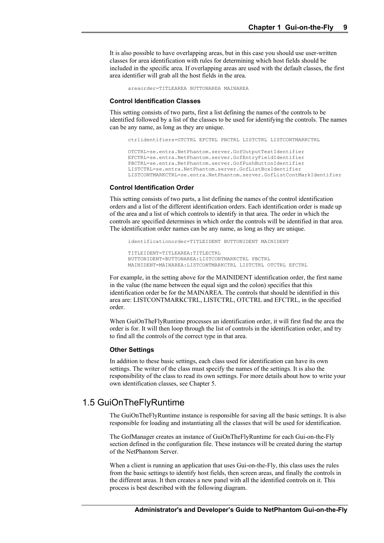It is also possible to have overlapping areas, but in this case you should use user-written classes for area identification with rules for determining which host fields should be included in the specific area. If overlapping areas are used with the default classes, the first area identifier will grab all the host fields in the area.

areaorder=TITLEAREA BUTTONAREA MAINAREA

#### **Control Identification Classes**

This setting consists of two parts, first a list defining the names of the controls to be identified followed by a list of the classes to be used for identifying the controls. The names can be any name, as long as they are unique.

```
ctrlidentifiers=OTCTRL EFCTRL PBCTRL LISTCTRL LISTCONTMARKCTRL
OTCTRL=se.entra.NetPhantom.server.GofOutputTextIdentifier
EFCTRL=se.entra.NetPhantom.server.GofEntryFieldIdentifier
PBCTRL=se.entra.NetPhantom.server.GofPushButtonIdentifier
LISTCTRL=se.entra.NetPhantom.server.GofListBoxIdentifier
LISTCONTMARKCTRL=se.entra.NetPhantom.server.GofListContMarkIdentifier
```
#### **Control Identification Order**

This setting consists of two parts, a list defining the names of the control identification orders and a list of the different identification orders. Each identification order is made up of the area and a list of which controls to identify in that area. The order in which the controls are specified determines in which order the controls will be identified in that area. The identification order names can be any name, as long as they are unique.

```
identificationorder=TITLEIDENT BUTTONIDENT MAINIDENT
```

```
TITLEIDENT=TITLEAREA:TITLECTRL
BUTTONIDENT=BUTTONAREA:LISTCONTMARKCTRL PBCTRL
MAINIDENT=MAINAREA:LISTCONTMARKCTRL LISTCTRL OTCTRL EFCTRL
```
For example, in the setting above for the MAINIDENT identification order, the first name in the value (the name between the equal sign and the colon) specifies that this identification order be for the MAINAREA. The controls that should be identified in this area are: LISTCONTMARKCTRL, LISTCTRL, OTCTRL and EFCTRL, in the specified order.

When GuiOnTheFlyRuntime processes an identification order, it will first find the area the order is for. It will then loop through the list of controls in the identification order, and try to find all the controls of the correct type in that area.

### **Other Settings**

In addition to these basic settings, each class used for identification can have its own settings. The writer of the class must specify the names of the settings. It is also the responsibility of the class to read its own settings. For more details about how to write your own identification classes, see Chapter 5.

### 1.5 GuiOnTheFlyRuntime

The GuiOnTheFlyRuntime instance is responsible for saving all the basic settings. It is also responsible for loading and instantiating all the classes that will be used for identification.

The GofManager creates an instance of GuiOnTheFlyRuntime for each Gui-on-the-Fly section defined in the configuration file. These instances will be created during the startup of the NetPhantom Server.

When a client is running an application that uses Gui-on-the-Fly, this class uses the rules from the basic settings to identify host fields, then screen areas, and finally the controls in the different areas. It then creates a new panel with all the identified controls on it. This process is best described with the following diagram.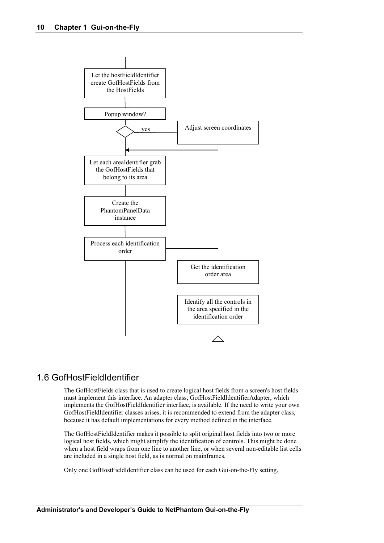

### 1.6 GofHostFieldIdentifier

The GofHostFields class that is used to create logical host fields from a screen's host fields must implement this interface. An adapter class, GofHostFieldIdentifierAdapter, which implements the GofHostFieldIdentifier interface, is available. If the need to write your own GofHostFieldIdentifier classes arises, it is recommended to extend from the adapter class, because it has default implementations for every method defined in the interface.

The GofHostFieldIdentifier makes it possible to split original host fields into two or more logical host fields, which might simplify the identification of controls. This might be done when a host field wraps from one line to another line, or when several non-editable list cells are included in a single host field, as is normal on mainframes.

Only one GofHostFieldIdentifier class can be used for each Gui-on-the-Fly setting.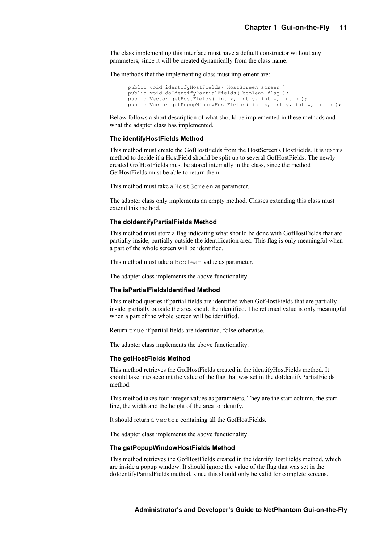The class implementing this interface must have a default constructor without any parameters, since it will be created dynamically from the class name.

The methods that the implementing class must implement are:

```
public void identifyHostFields ( HostScreen screen );
public void doIdentifyPartialFields( boolean flag );
public Vector getHostFields ( int x, int y, int w, int h );
public Vector getPopupWindowHostFields( int x, int y, int w, int h );
```
Below follows a short description of what should be implemented in these methods and what the adapter class has implemented.

#### **The identifyHostFields Method**

This method must create the GofHostFields from the HostScreen's HostFields. It is up this method to decide if a HostField should be split up to several GofHostFields. The newly created GofHostFields must be stored internally in the class, since the method GetHostFields must be able to return them.

This method must take a HostScreen as parameter.

The adapter class only implements an empty method. Classes extending this class must extend this method.

#### **The doIdentifyPartialFields Method**

This method must store a flag indicating what should be done with GofHostFields that are partially inside, partially outside the identification area. This flag is only meaningful when a part of the whole screen will be identified.

This method must take a boolean value as parameter.

The adapter class implements the above functionality.

#### **The isPartialFieldsIdentified Method**

This method queries if partial fields are identified when GofHostFields that are partially inside, partially outside the area should be identified. The returned value is only meaningful when a part of the whole screen will be identified.

Return true if partial fields are identified, false otherwise.

The adapter class implements the above functionality.

#### **The getHostFields Method**

This method retrieves the GofHostFields created in the identifyHostFields method. It should take into account the value of the flag that was set in the doIdentifyPartialFields method.

This method takes four integer values as parameters. They are the start column, the start line, the width and the height of the area to identify.

It should return a Vector containing all the GofHostFields.

The adapter class implements the above functionality.

#### **The getPopupWindowHostFields Method**

This method retrieves the GofHostFields created in the identifyHostFields method, which are inside a popup window. It should ignore the value of the flag that was set in the doIdentifyPartialFields method, since this should only be valid for complete screens.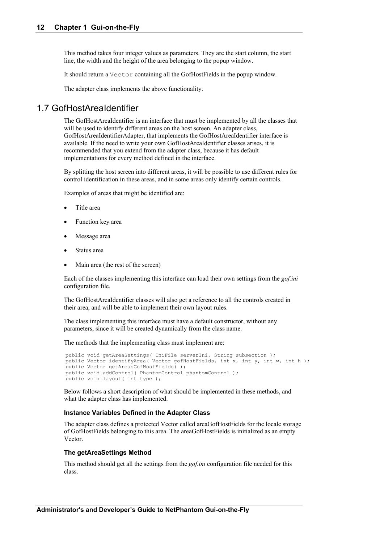This method takes four integer values as parameters. They are the start column, the start line, the width and the height of the area belonging to the popup window.

It should return a Vector containing all the GofHostFields in the popup window.

The adapter class implements the above functionality.

### 1.7 GofHostAreaIdentifier

The GofHostAreaIdentifier is an interface that must be implemented by all the classes that will be used to identify different areas on the host screen. An adapter class, GofHostAreaIdentifierAdapter, that implements the GofHostAreaIdentifier interface is available. If the need to write your own GofHostAreaIdentifier classes arises, it is recommended that you extend from the adapter class, because it has default implementations for every method defined in the interface.

By splitting the host screen into different areas, it will be possible to use different rules for control identification in these areas, and in some areas only identify certain controls.

Examples of areas that might be identified are:

- Title area
- Function key area
- Message area
- Status area
- Main area (the rest of the screen)

Each of the classes implementing this interface can load their own settings from the *gof.ini* configuration file.

The GofHostAreaIdentifier classes will also get a reference to all the controls created in their area, and will be able to implement their own layout rules.

The class implementing this interface must have a default constructor, without any parameters, since it will be created dynamically from the class name.

The methods that the implementing class must implement are:

```
public void getAreaSettings ( IniFile serverIni, String subsection );
public Vector identifyArea( Vector gofHostFields, int x, int y, int w, int h );
public Vector getAreasGofHostFields( );
public void addControl( PhantomControl phantomControl );
public void layout( int type );
```
Below follows a short description of what should be implemented in these methods, and what the adapter class has implemented.

### **Instance Variables Defined in the Adapter Class**

The adapter class defines a protected Vector called areaGofHostFields for the locale storage of GofHostFields belonging to this area. The areaGofHostFields is initialized as an empty Vector.

#### **The getAreaSettings Method**

This method should get all the settings from the *gof.ini* configuration file needed for this class.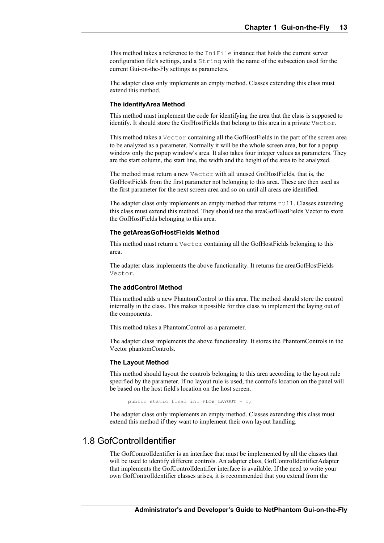This method takes a reference to the IniFile instance that holds the current server configuration file's settings, and a String with the name of the subsection used for the current Gui-on-the-Fly settings as parameters.

The adapter class only implements an empty method. Classes extending this class must extend this method.

#### **The identifyArea Method**

This method must implement the code for identifying the area that the class is supposed to identify. It should store the GofHostFields that belong to this area in a private Vector.

This method takes a Vector containing all the GofHostFields in the part of the screen area to be analyzed as a parameter. Normally it will be the whole screen area, but for a popup window only the popup window's area. It also takes four integer values as parameters. They are the start column, the start line, the width and the height of the area to be analyzed.

The method must return a new Vector with all unused GofHostFields, that is, the GofHostFields from the first parameter not belonging to this area. These are then used as the first parameter for the next screen area and so on until all areas are identified.

The adapter class only implements an empty method that returns null. Classes extending this class must extend this method. They should use the areaGofHostFields Vector to store the GofHostFields belonging to this area.

#### **The getAreasGofHostFields Method**

This method must return a Vector containing all the GofHostFields belonging to this area.

The adapter class implements the above functionality. It returns the areaGofHostFields Vector.

#### **The addControl Method**

This method adds a new PhantomControl to this area. The method should store the control internally in the class. This makes it possible for this class to implement the laying out of the components.

This method takes a PhantomControl as a parameter.

The adapter class implements the above functionality. It stores the PhantomControls in the Vector phantomControls.

### **The Layout Method**

This method should layout the controls belonging to this area according to the layout rule specified by the parameter. If no layout rule is used, the control's location on the panel will be based on the host field's location on the host screen.

public static final int FLOW LAYOUT = 1;

The adapter class only implements an empty method. Classes extending this class must extend this method if they want to implement their own layout handling.

### 1.8 GofControlIdentifier

The GofControlIdentifier is an interface that must be implemented by all the classes that will be used to identify different controls. An adapter class, GofControlIdentifierAdapter that implements the GofControlIdentifier interface is available. If the need to write your own GofControlIdentifier classes arises, it is recommended that you extend from the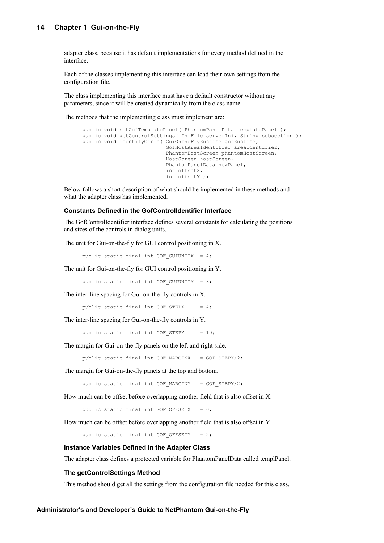adapter class, because it has default implementations for every method defined in the interface.

Each of the classes implementing this interface can load their own settings from the configuration file.

The class implementing this interface must have a default constructor without any parameters, since it will be created dynamically from the class name.

The methods that the implementing class must implement are:

```
public void setGofTemplatePanel( PhantomPanelData templatePanel );
public void getControlSettings( IniFile serverIni, String subsection );
public void identifyCtrls( GuiOnTheFlyRuntime gofRuntime,
                            GofHostAreaIdentifier areaIdentifier, 
                           PhantomHostScreen phantomHostScreen, 
                           HostScreen hostScreen,
                           PhantomPanelData newPanel,
                           int offsetX,
                           int offsetY );
```
Below follows a short description of what should be implemented in these methods and what the adapter class has implemented.

#### **Constants Defined in the GofControlIdentifier Interface**

The GofControlIdentifier interface defines several constants for calculating the positions and sizes of the controls in dialog units.

The unit for Gui-on-the-fly for GUI control positioning in X.

public static final int GOF\_GUIUNITX = 4;

The unit for Gui-on-the-fly for GUI control positioning in Y.

public static final int GOF GUIUNITY =  $8;$ 

The inter-line spacing for Gui-on-the-fly controls in X.

public static final int GOF STEPX =  $4;$ 

The inter-line spacing for Gui-on-the-fly controls in Y.

public static final int GOF STEPY =  $10;$ 

The margin for Gui-on-the-fly panels on the left and right side.

public static final int GOF MARGINX = GOF STEPX/2;

The margin for Gui-on-the-fly panels at the top and bottom.

public static final int GOF MARGINY = GOF STEPY/2;

How much can be offset before overlapping another field that is also offset in X.

public static final int GOF OFFSETX =  $0;$ 

How much can be offset before overlapping another field that is also offset in Y.

public static final int GOF OFFSETY =  $2$ ;

#### **Instance Variables Defined in the Adapter Class**

The adapter class defines a protected variable for PhantomPanelData called templPanel.

#### **The getControlSettings Method**

This method should get all the settings from the configuration file needed for this class.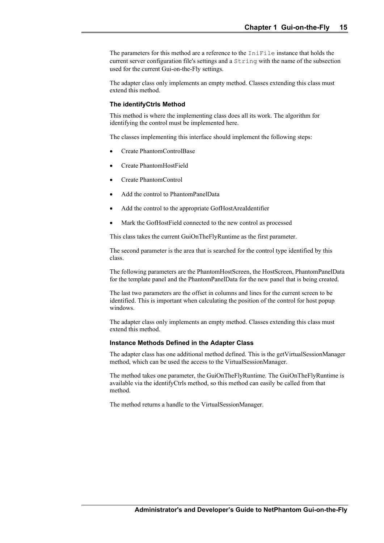The parameters for this method are a reference to the IniFile instance that holds the current server configuration file's settings and a String with the name of the subsection used for the current Gui-on-the-Fly settings.

The adapter class only implements an empty method. Classes extending this class must extend this method.

#### **The identifyCtrls Method**

This method is where the implementing class does all its work. The algorithm for identifying the control must be implemented here.

The classes implementing this interface should implement the following steps:

- Create PhantomControlBase
- Create PhantomHostField
- Create PhantomControl
- Add the control to PhantomPanelData
- Add the control to the appropriate GofHostAreaIdentifier
- Mark the GofHostField connected to the new control as processed

This class takes the current GuiOnTheFlyRuntime as the first parameter.

The second parameter is the area that is searched for the control type identified by this class.

The following parameters are the PhantomHostScreen, the HostScreen, PhantomPanelData for the template panel and the PhantomPanelData for the new panel that is being created.

The last two parameters are the offset in columns and lines for the current screen to be identified. This is important when calculating the position of the control for host popup windows.

The adapter class only implements an empty method. Classes extending this class must extend this method.

#### **Instance Methods Defined in the Adapter Class**

The adapter class has one additional method defined. This is the getVirtualSessionManager method, which can be used the access to the VirtualSessionManager.

The method takes one parameter, the GuiOnTheFlyRuntime. The GuiOnTheFlyRuntime is available via the identifyCtrls method, so this method can easily be called from that method.

The method returns a handle to the VirtualSessionManager.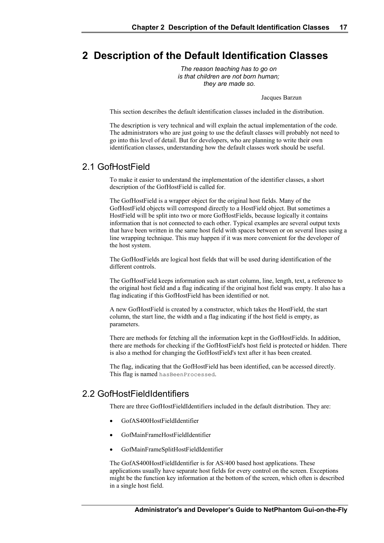# **2 Description of the Default Identification Classes**

*The reason teaching has to go on is that children are not born human; they are made so.*

Jacques Barzun

This section describes the default identification classes included in the distribution.

The description is very technical and will explain the actual implementation of the code. The administrators who are just going to use the default classes will probably not need to go into this level of detail. But for developers, who are planning to write their own identification classes, understanding how the default classes work should be useful.

### 2.1 GofHostField

To make it easier to understand the implementation of the identifier classes, a short description of the GofHostField is called for.

The GofHostField is a wrapper object for the original host fields. Many of the GofHostField objects will correspond directly to a HostField object. But sometimes a HostField will be split into two or more GofHostFields, because logically it contains information that is not connected to each other. Typical examples are several output texts that have been written in the same host field with spaces between or on several lines using a line wrapping technique. This may happen if it was more convenient for the developer of the host system.

The GofHostFields are logical host fields that will be used during identification of the different controls.

The GofHostField keeps information such as start column, line, length, text, a reference to the original host field and a flag indicating if the original host field was empty. It also has a flag indicating if this GofHostField has been identified or not.

A new GofHostField is created by a constructor, which takes the HostField, the start column, the start line, the width and a flag indicating if the host field is empty, as parameters.

There are methods for fetching all the information kept in the GofHostFields. In addition, there are methods for checking if the GofHostField's host field is protected or hidden. There is also a method for changing the GofHostField's text after it has been created.

The flag, indicating that the GofHostField has been identified, can be accessed directly. This flag is named hasBeenProcessed.

### 2.2 GofHostFieldIdentifiers

There are three GofHostFieldIdentifiers included in the default distribution. They are:

- GofAS400HostFieldIdentifier
- GofMainFrameHostFieldIdentifier
- GofMainFrameSplitHostFieldIdentifier

The GofAS400HostFieldIdentifier is for AS/400 based host applications. These applications usually have separate host fields for every control on the screen. Exceptions might be the function key information at the bottom of the screen, which often is described in a single host field.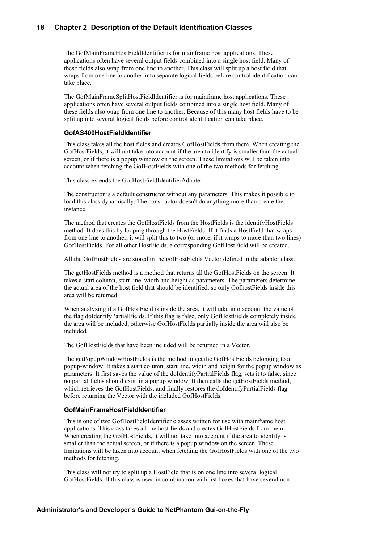The GofMainFrameHostFieldIdentifier is for mainframe host applications. These applications often have several output fields combined into a single host field. Many of these fields also wrap from one line to another. This class will split up a host field that wraps from one line to another into separate logical fields before control identification can take place.

The GofMainFrameSplitHostFieldIdentifier is for mainframe host applications. These applications often have several output fields combined into a single host field. Many of these fields also wrap from one line to another. Because of this many host fields have to be split up into several logical fields before control identification can take place.

#### **GofAS400HostFieldIdentifier**

This class takes all the host fields and creates GofHostFields from them. When creating the GofHostFields, it will not take into account if the area to identify is smaller than the actual screen, or if there is a popup window on the screen. These limitations will be taken into account when fetching the GofHostFields with one of the two methods for fetching.

This class extends the GofHostFieldIdentifierAdapter.

The constructor is a default constructor without any parameters. This makes it possible to load this class dynamically. The constructor doesn't do anything more than create the instance.

The method that creates the GofHostFields from the HostFields is the identifyHostFields method. It does this by looping through the HostFields. If it finds a HostField that wraps from one line to another, it will split this to two (or more, if it wraps to more than two lines) GofHostFields. For all other HostFields, a corresponding GofHostField will be created.

All the GofHostFields are stored in the gofHostFields Vector defined in the adapter class.

The getHostFields method is a method that returns all the GofHostFields on the screen. It takes a start column, start line, width and height as parameters. The parameters determine the actual area of the host field that should be identified, so only GofhostFields inside this area will be returned.

When analyzing if a GofHostField is inside the area, it will take into account the value of the flag doIdentifyPartialFields. If this flag is false, only GofHostFields completely inside the area will be included, otherwise GofHostFields partially inside the area will also be included.

The GofHostFields that have been included will be returned in a Vector.

The getPopupWindowHostFields is the method to get the GofHostFields belonging to a popup-window. It takes a start column, start line, width and height for the popup window as parameters. It first saves the value of the doIdentifyPartialFields flag, sets it to false, since no partial fields should exist in a popup window. It then calls the getHostFields method, which retrieves the GofHostFields, and finally restores the doIdentifyPartialFields flag before returning the Vector with the included GofHostFields.

### **GofMainFrameHostFieldIdentifier**

This is one of two GofHostFieldIdentifier classes written for use with mainframe host applications. This class takes all the host fields and creates GofHostFields from them. When creating the GofHostFields, it will not take into account if the area to identify is smaller than the actual screen, or if there is a popup window on the screen. These limitations will be taken into account when fetching the GofHostFields with one of the two methods for fetching.

This class will not try to split up a HostField that is on one line into several logical GofHostFields. If this class is used in combination with list boxes that have several non-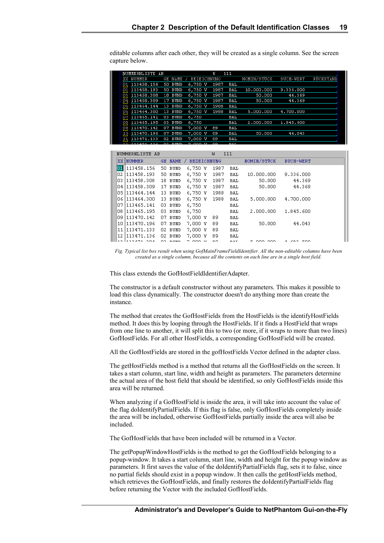| NUMMERNLISTE AB     |                    |                    | Ŵ    | 111        |             |                  |           |
|---------------------|--------------------|--------------------|------|------------|-------------|------------------|-----------|
| <b>NUMMER</b><br>XX | GE NAME            | <b>BEZEICHNUNG</b> |      |            | NOMIN/STÜCK | <b>BUCH-WERT</b> | RÜCKSTAND |
| 113458.156<br>ρ1    | 50 BUND            | 6,750 V            | 1987 | BAL        |             |                  |           |
| 113458.193<br>92,   | <b>BUND</b><br>50. | 6,750<br>v         | 1987 | BAL        | 10.000.000  | 9.336.000        |           |
| 113458.308<br>ρ3    | BUND<br>18.        | 6,750 V            | 1987 | BAL        | 50,000      | 44.369           |           |
| 113458.309<br>94    | BUND<br>17.        | 6,750 V            | 1987 | <b>BAL</b> | 50,000      | 44.369           |           |
| 113464.144<br>95    | BUND<br>13.        | 6,750 V            | 1988 | <b>BAL</b> |             |                  |           |
| 113464.300<br>96    | BUND<br>13.        | 6,750 V            | 1988 | BAL        | 5.000.000   | 4,700,000        |           |
| 113465.141<br>97    | BUND<br>03.        | 6,750              |      | BAL        |             |                  |           |
| 113465.195<br>98    | BUND<br>03         | 6,750              |      | <b>BAL</b> | 2,000,000   | 1.845.600        |           |
| 113470.142<br>99    | <b>BUND</b><br>07  | 7,000 V            | 89   | BAL        |             |                  |           |
| 113470.196<br>10    | <b>BUND</b><br>07  | 7,000 V            | 89   | BAL        | 50,000      | 44.043           |           |
| 113471.133<br>11    | BUND<br>02.        | 7.000 V            | 89   | BAL        |             |                  |           |
| 19 C                | 33<br>EIMD         |                    | яo   | <b>BAI</b> |             |                  |           |

editable columns after each other, they will be created as a single column. See the screen capture below.

|      | NUMMERNLISTE AB    |     |                |                    | <b>I<sub>N</sub></b> | 111 |                |              |  |
|------|--------------------|-----|----------------|--------------------|----------------------|-----|----------------|--------------|--|
|      | XX NUMMER          |     | <b>GE NAME</b> | <b>BEZEICHNUNG</b> |                      |     | NOMIN/STÜCK    | BUCH-WERT    |  |
| 01   | 113458.156         |     | 50 BUND        | 6,750 V            | 1987                 | BAL |                |              |  |
| 02   | 1113458.193        |     | 50 BUND        | 6,750 V            | 1987                 | BAL | 10,000,000     | 9.336.000    |  |
| lО3. | 1113458.308        |     | 18 BUND        | 6,750 V            | 1987                 | BAL | 50.000         | 44.369       |  |
|      | 04   113 458 . 309 |     | 17 BUND        | 6,750 V            | 1987                 | BAL | 50.000         | 44.369       |  |
|      | 05 1113 464 . 144  |     | 13 BUND        | 6,750 V            | 1988                 | BAL |                |              |  |
|      | 06   113 464.300   |     | 13 BUND        | 6,750 V            | 1988                 | BAL | 5.000.000      | 4.700.000    |  |
| 07   | 1113465.141        | 03. | BUND           | 6,750              |                      | BAL |                |              |  |
| 08   | 113465.195         |     | 03 BUND        | 6,750              |                      | BAL | 2,000,000      | 1.845.600    |  |
|      | 09   113 470 . 142 |     | 07 BUND        | 7,000 V            | 89                   | BAL |                |              |  |
|      | 10 1113 470, 196   | 07. | BUND           | 7,000 V            | 89                   | BAL | 50,000         | 44.043       |  |
| 11   | 113471.133         |     | 02 BUND        | 7,000 V            | 89                   | BAL |                |              |  |
| 12   | 1113471.136        | 02  | BUND           | 7,000 V            | 89                   | BAL |                |              |  |
| 10.  | 112471<br>200      | O2. | <b>DITAIN</b>  | 7.000 M            | 0 <sub>0</sub>       | DAT | E<br>loon loon | A 602<br>500 |  |

*Fig. Typical list box result when using GofMainFrameFieldIdentifier. All the non-editable columns have been created as a single column, because all the contents on each line are in a single host field.*

This class extends the GofHostFieldIdentifierAdapter.

The constructor is a default constructor without any parameters. This makes it possible to load this class dynamically. The constructor doesn't do anything more than create the instance.

The method that creates the GofHostFields from the HostFields is the identifyHostFields method. It does this by looping through the HostFields. If it finds a HostField that wraps from one line to another, it will split this to two (or more, if it wraps to more than two lines) GofHostFields. For all other HostFields, a corresponding GofHostField will be created.

All the GofHostFields are stored in the gofHostFields Vector defined in the adapter class.

The getHostFields method is a method that returns all the GofHostFields on the screen. It takes a start column, start line, width and height as parameters. The parameters determine the actual area of the host field that should be identified, so only GofHostFields inside this area will be returned.

When analyzing if a GofHostField is inside the area, it will take into account the value of the flag doIdentifyPartialFields. If this flag is false, only GofHostFields completely inside the area will be included, otherwise GofHostFields partially inside the area will also be included.

The GofHostFields that have been included will be returned in a Vector.

The getPopupWindowHostFields is the method to get the GofHostFields belonging to a popup-window. It takes a start column, start line, width and height for the popup window as parameters. It first saves the value of the doIdentifyPartialFields flag, sets it to false, since no partial fields should exist in a popup window. It then calls the getHostFields method, which retrieves the GofHostFields, and finally restores the doIdentifyPartialFields flag before returning the Vector with the included GofHostFields.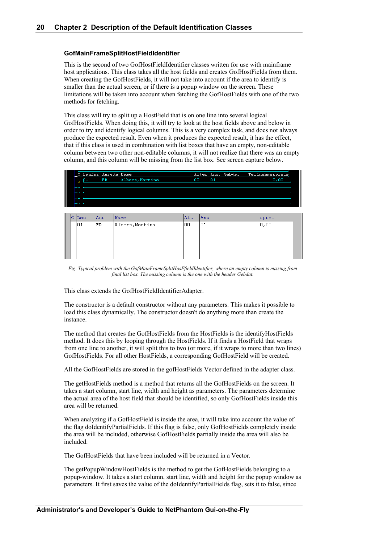### **GofMainFrameSplitHostFieldIdentifier**

This is the second of two GofHostFieldIdentifier classes written for use with mainframe host applications. This class takes all the host fields and creates GofHostFields from them. When creating the GofHostFields, it will not take into account if the area to identify is smaller than the actual screen, or if there is a popup window on the screen. These limitations will be taken into account when fetching the GofHostFields with one of the two methods for fetching.

This class will try to split up a HostField that is on one line into several logical GofHostFields. When doing this, it will try to look at the host fields above and below in order to try and identify logical columns. This is a very complex task, and does not always produce the expected result. Even when it produces the expected result, it has the effect, that if this class is used in combination with list boxes that have an empty, non-editable column between two other non-editable columns, it will not realize that there was an empty column, and this column will be missing from the list box. See screen capture below.

| C Laufnr Anrede Name |                 |    | Alter Anz. Gebdat | Teilnehmerpreis |
|----------------------|-----------------|----|-------------------|-----------------|
| - 01<br>FR           | Albert, Martina | oo | 01                | 0,00            |
|                      |                 |    |                   |                 |
|                      |                 |    |                   |                 |
|                      |                 |    |                   |                 |
|                      |                 |    |                   |                 |

|  | C  Lau | Anr. | Name            | <b>Alt</b> | Anz | rprei  |
|--|--------|------|-----------------|------------|-----|--------|
|  | l01    | FR   | Albert, Martina | loo        | 01  | 0,00 ا |
|  |        |      |                 |            |     |        |
|  |        |      |                 |            |     |        |
|  |        |      |                 |            |     |        |
|  |        |      |                 |            |     |        |

*Fig. Typical problem with the GofMainFrameSplitHosFfieldIdentifier, where an empty column is missing from final list box. The missing column is the one with the header Gebdat.*

This class extends the GofHostFieldIdentifierAdapter.

The constructor is a default constructor without any parameters. This makes it possible to load this class dynamically. The constructor doesn't do anything more than create the instance.

The method that creates the GofHostFields from the HostFields is the identifyHostFields method. It does this by looping through the HostFields. If it finds a HostField that wraps from one line to another, it will split this to two (or more, if it wraps to more than two lines) GofHostFields. For all other HostFields, a corresponding GofHostField will be created.

All the GofHostFields are stored in the gofHostFields Vector defined in the adapter class.

The getHostFields method is a method that returns all the GofHostFields on the screen. It takes a start column, start line, width and height as parameters. The parameters determine the actual area of the host field that should be identified, so only GofHostFields inside this area will be returned.

When analyzing if a GofHostField is inside the area, it will take into account the value of the flag doIdentifyPartialFields. If this flag is false, only GofHostFields completely inside the area will be included, otherwise GofHostFields partially inside the area will also be included.

The GofHostFields that have been included will be returned in a Vector.

The getPopupWindowHostFields is the method to get the GofHostFields belonging to a popup-window. It takes a start column, start line, width and height for the popup window as parameters. It first saves the value of the doIdentifyPartialFields flag, sets it to false, since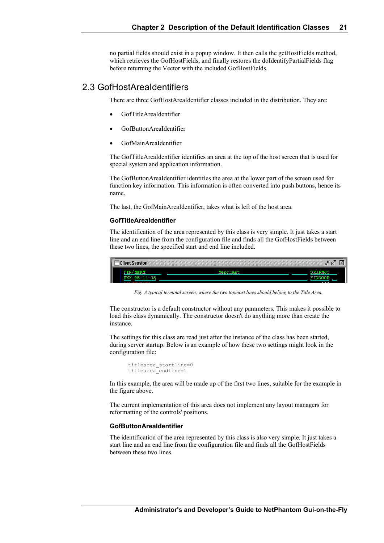no partial fields should exist in a popup window. It then calls the getHostFields method, which retrieves the GofHostFields, and finally restores the doIdentifyPartialFields flag before returning the Vector with the included GofHostFields.

### 2.3 GofHostAreaIdentifiers

There are three GofHostAreaIdentifier classes included in the distribution. They are:

- GofTitleAreaIdentifier
- GofButtonAreaIdentifier
- GofMainAreaIdentifier

The GofTitleAreaIdentifier identifies an area at the top of the host screen that is used for special system and application information.

The GofButtonAreaIdentifier identifies the area at the lower part of the screen used for function key information. This information is often converted into push buttons, hence its name.

The last, the GofMainAreaIdentifier, takes what is left of the host area.

#### **GofTitleAreaIdentifier**

The identification of the area represented by this class is very simple. It just takes a start line and an end line from the configuration file and finds all the GofHostFields between these two lines, the specified start and end line included.

| 4141414<br><b>Elient Session</b><br>---<br> |               | К<br>Ø<br>E   | lх |
|---------------------------------------------|---------------|---------------|----|
| .                                           | <b>Morely</b> |               |    |
| n۶<br>2730000000                            |               | $\sim$ $\sim$ |    |

*Fig. A typical terminal screen, where the two topmost lines should belong to the Title Area.*

The constructor is a default constructor without any parameters. This makes it possible to load this class dynamically. The constructor doesn't do anything more than create the instance.

The settings for this class are read just after the instance of the class has been started, during server startup. Below is an example of how these two settings might look in the configuration file:

```
titlearea_startline=0
titlearea_endline=1
```
In this example, the area will be made up of the first two lines, suitable for the example in the figure above.

The current implementation of this area does not implement any layout managers for reformatting of the controls' positions.

### **GofButtonAreaIdentifier**

The identification of the area represented by this class is also very simple. It just takes a start line and an end line from the configuration file and finds all the GofHostFields between these two lines.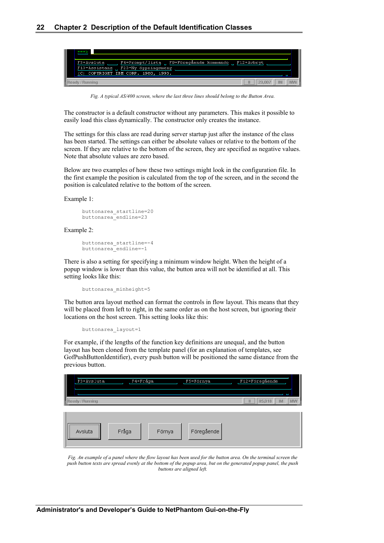

*Fig. A typical AS/400 screen, where the last three lines should belong to the Button Area.*

The constructor is a default constructor without any parameters. This makes it possible to easily load this class dynamically. The constructor only creates the instance.

The settings for this class are read during server startup just after the instance of the class has been started. The settings can either be absolute values or relative to the bottom of the screen. If they are relative to the bottom of the screen, they are specified as negative values. Note that absolute values are zero based.

Below are two examples of how these two settings might look in the configuration file. In the first example the position is calculated from the top of the screen, and in the second the position is calculated relative to the bottom of the screen.

Example 1:

```
buttonarea_startline=20
buttonarea_endline=23
```
Example 2:

```
buttonarea_startline=-4
buttonarea_endline=-1
```
There is also a setting for specifying a minimum window height. When the height of a popup window is lower than this value, the button area will not be identified at all. This setting looks like this:

buttonarea\_minheight=5

The button area layout method can format the controls in flow layout. This means that they will be placed from left to right, in the same order as on the host screen, but ignoring their locations on the host screen. This setting looks like this:

```
buttonarea_layout=1
```
For example, if the lengths of the function key definitions are unequal, and the button layout has been cloned from the template panel (for an explanation of templates, see GofPushButtonIdentifier), every push button will be positioned the same distance from the previous button.

| I               | F4=Fråga<br>F3=Avsluta |        | F5=Förnya  | F12=Föregående          |    |
|-----------------|------------------------|--------|------------|-------------------------|----|
| Ready / Running |                        |        |            | i,<br>05,018<br>IМ<br>Ш | MM |
| <br>Avsluta     | Fråga                  | Förnya | Föregående |                         |    |

*Fig. An example of a panel where the flow layout has been used for the button area. On the terminal screen the push button texts are spread evenly at the bottom of the popup area, but on the generated popup panel, the push buttons are aligned left.*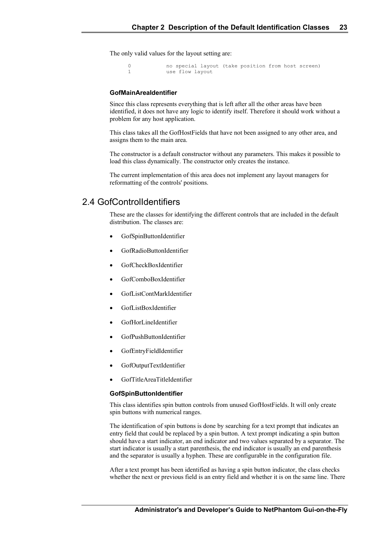The only valid values for the layout setting are:

0 no special layout (take position from host screen) 1 use flow layout

#### **GofMainAreaIdentifier**

Since this class represents everything that is left after all the other areas have been identified, it does not have any logic to identify itself. Therefore it should work without a problem for any host application.

This class takes all the GofHostFields that have not been assigned to any other area, and assigns them to the main area.

The constructor is a default constructor without any parameters. This makes it possible to load this class dynamically. The constructor only creates the instance.

The current implementation of this area does not implement any layout managers for reformatting of the controls' positions.

### 2.4 GofControlIdentifiers

These are the classes for identifying the different controls that are included in the default distribution. The classes are:

- GofSpinButtonIdentifier
- GofRadioButtonIdentifier
- GofCheckBoxIdentifier
- GofComboBoxIdentifier
- GofListContMarkIdentifier
- GofListBoxIdentifier
- GofHorLineIdentifier
- GofPushButtonIdentifier
- GofEntryFieldIdentifier
- GofOutputTextIdentifier
- GofTitleAreaTitleIdentifier

### **GofSpinButtonIdentifier**

This class identifies spin button controls from unused GofHostFields. It will only create spin buttons with numerical ranges.

The identification of spin buttons is done by searching for a text prompt that indicates an entry field that could be replaced by a spin button. A text prompt indicating a spin button should have a start indicator, an end indicator and two values separated by a separator. The start indicator is usually a start parenthesis, the end indicator is usually an end parenthesis and the separator is usually a hyphen. These are configurable in the configuration file.

After a text prompt has been identified as having a spin button indicator, the class checks whether the next or previous field is an entry field and whether it is on the same line. There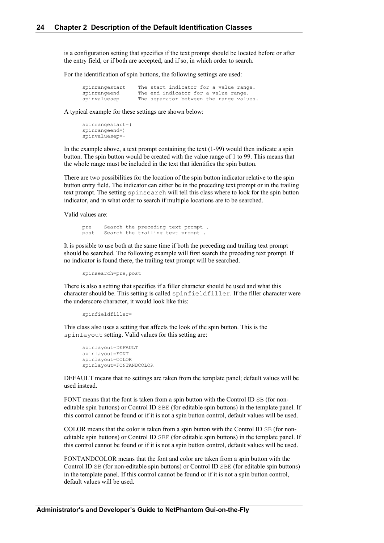is a configuration setting that specifies if the text prompt should be located before or after the entry field, or if both are accepted, and if so, in which order to search.

For the identification of spin buttons, the following settings are used:

| spinrangestart |                                      |  |  | The start indicator for a value range.  |
|----------------|--------------------------------------|--|--|-----------------------------------------|
| spinrangeend   | The end indicator for a value range. |  |  |                                         |
| spinvaluesep   |                                      |  |  | The separator between the range values. |

A typical example for these settings are shown below:

```
spinrangestart=(
spinrangeend=)
spinvaluesep=-
```
In the example above, a text prompt containing the text  $(1-99)$  would then indicate a spin button. The spin button would be created with the value range of 1 to 99. This means that the whole range must be included in the text that identifies the spin button.

There are two possibilities for the location of the spin button indicator relative to the spin button entry field. The indicator can either be in the preceding text prompt or in the trailing text prompt. The setting spinsearch will tell this class where to look for the spin button indicator, and in what order to search if multiple locations are to be searched.

Valid values are:

pre Search the preceding text prompt . post Search the trailing text prompt .

It is possible to use both at the same time if both the preceding and trailing text prompt should be searched. The following example will first search the preceding text prompt. If no indicator is found there, the trailing text prompt will be searched.

spinsearch=pre,post

There is also a setting that specifies if a filler character should be used and what this character should be. This setting is called spinfieldfiller. If the filler character were the underscore character, it would look like this:

```
spinfieldfiller=_
```
This class also uses a setting that affects the look of the spin button. This is the spinlayout setting. Valid values for this setting are:

```
spinlayout=DEFAULT
spinlayout=FONT
spinlayout=COLOR
spinlayout=FONTANDCOLOR
```
DEFAULT means that no settings are taken from the template panel; default values will be used instead.

FONT means that the font is taken from a spin button with the Control ID SB (for noneditable spin buttons) or Control ID SBE (for editable spin buttons) in the template panel. If this control cannot be found or if it is not a spin button control, default values will be used.

COLOR means that the color is taken from a spin button with the Control ID SB (for noneditable spin buttons) or Control ID SBE (for editable spin buttons) in the template panel. If this control cannot be found or if it is not a spin button control, default values will be used.

FONTANDCOLOR means that the font and color are taken from a spin button with the Control ID SB (for non-editable spin buttons) or Control ID SBE (for editable spin buttons) in the template panel. If this control cannot be found or if it is not a spin button control, default values will be used.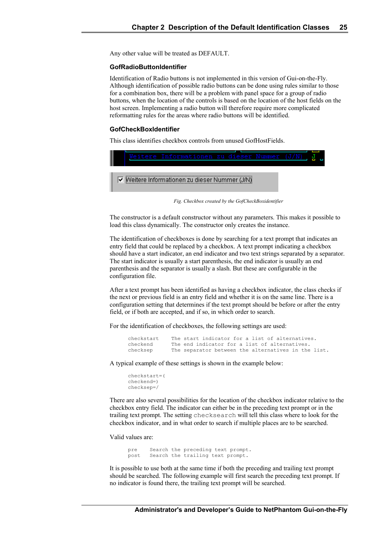Any other value will be treated as DEFAULT.

#### **GofRadioButtonIdentifier**

Identification of Radio buttons is not implemented in this version of Gui-on-the-Fly. Although identification of possible radio buttons can be done using rules similar to those for a combination box, there will be a problem with panel space for a group of radio buttons, when the location of the controls is based on the location of the host fields on the host screen. Implementing a radio button will therefore require more complicated reformatting rules for the areas where radio buttons will be identified.

#### **GofCheckBoxIdentifier**

This class identifies checkbox controls from unused GofHostFields.



*Fig. Checkbox created by the GofCheckBoxidentifier*

The constructor is a default constructor without any parameters. This makes it possible to load this class dynamically. The constructor only creates the instance.

The identification of checkboxes is done by searching for a text prompt that indicates an entry field that could be replaced by a checkbox. A text prompt indicating a checkbox should have a start indicator, an end indicator and two text strings separated by a separator. The start indicator is usually a start parenthesis, the end indicator is usually an end parenthesis and the separator is usually a slash. But these are configurable in the configuration file.

After a text prompt has been identified as having a checkbox indicator, the class checks if the next or previous field is an entry field and whether it is on the same line. There is a configuration setting that determines if the text prompt should be before or after the entry field, or if both are accepted, and if so, in which order to search.

For the identification of checkboxes, the following settings are used:

| checkstart | The start indicator for a list of alternatives.     |  |  |  |
|------------|-----------------------------------------------------|--|--|--|
| checkend   | The end indicator for a list of alternatives.       |  |  |  |
| checksep   | The separator between the alternatives in the list. |  |  |  |

A typical example of these settings is shown in the example below:

```
checkstart=(
checkend=)
checksep=/
```
There are also several possibilities for the location of the checkbox indicator relative to the checkbox entry field. The indicator can either be in the preceding text prompt or in the trailing text prompt. The setting checksearch will tell this class where to look for the checkbox indicator, and in what order to search if multiple places are to be searched.

Valid values are:

pre Search the preceding text prompt. post Search the trailing text prompt.

It is possible to use both at the same time if both the preceding and trailing text prompt should be searched. The following example will first search the preceding text prompt. If no indicator is found there, the trailing text prompt will be searched.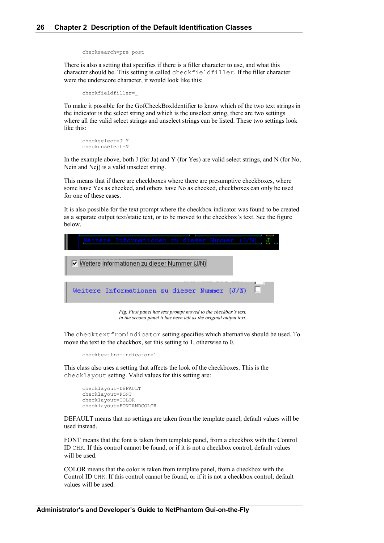```
checksearch=pre post
```
There is also a setting that specifies if there is a filler character to use, and what this character should be. This setting is called checkfieldfiller. If the filler character were the underscore character, it would look like this:

```
checkfieldfiller=_
```
To make it possible for the GofCheckBoxIdentifier to know which of the two text strings in the indicator is the select string and which is the unselect string, there are two settings where all the valid select strings and unselect strings can be listed. These two settings look like this:

```
checkselect=J Y
checkunselect=N
```
In the example above, both J (for Ja) and Y (for Yes) are valid select strings, and N (for No, Nein and Nej) is a valid unselect string.

This means that if there are checkboxes where there are presumptive checkboxes, where some have Yes as checked, and others have No as checked, checkboxes can only be used for one of these cases.

It is also possible for the text prompt where the checkbox indicator was found to be created as a separate output text/static text, or to be moved to the checkbox's text. See the figure below.



*Fig. First panel has text prompt moved to the checkbox's text, in the second panel it has been left as the original output text.*

The checktextfromindicator setting specifies which alternative should be used. To move the text to the checkbox, set this setting to 1, otherwise to 0.

```
checktextfromindicator=1
```
This class also uses a setting that affects the look of the checkboxes. This is the checklayout setting. Valid values for this setting are:

```
checklayout=DEFAULT
checklayout=FONT
checklayout=COLOR
checklayout=FONTANDCOLOR
```
DEFAULT means that no settings are taken from the template panel; default values will be used instead.

FONT means that the font is taken from template panel, from a checkbox with the Control ID CHK. If this control cannot be found, or if it is not a checkbox control, default values will be used.

COLOR means that the color is taken from template panel, from a checkbox with the Control ID CHK. If this control cannot be found, or if it is not a checkbox control, default values will be used.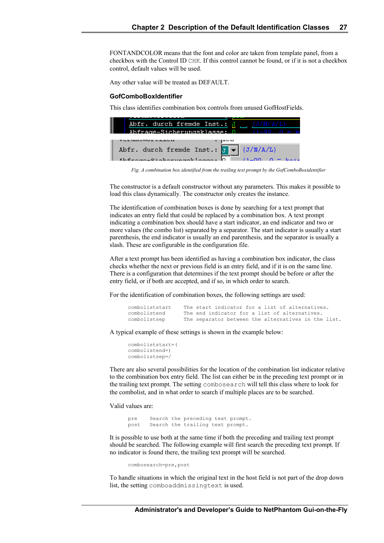FONTANDCOLOR means that the font and color are taken from template panel, from a checkbox with the Control ID CHK. If this control cannot be found, or if it is not a checkbox control, default values will be used.

Any other value will be treated as DEFAULT.

#### **GofComboBoxIdentifier**

This class identifies combination box controls from unused GofHostFields.

| Abfr. durch fremde Inst.: $J$ (J/N/A/L)                      |  |
|--------------------------------------------------------------|--|
| Whfrage-Sicherungsklasse: 8 (1-99)                           |  |
|                                                              |  |
| Abfr. durch fremde Inst.: $\sqrt{d} = (\sqrt{d}/N/\Delta/L)$ |  |
| $\lambda$ le finance – Cinkennesser selel – – –              |  |

*Fig. A combination box identified from the trailing text prompt by the GofComboBoxidentifier*

The constructor is a default constructor without any parameters. This makes it possible to load this class dynamically. The constructor only creates the instance.

The identification of combination boxes is done by searching for a text prompt that indicates an entry field that could be replaced by a combination box. A text prompt indicating a combination box should have a start indicator, an end indicator and two or more values (the combo list) separated by a separator. The start indicator is usually a start parenthesis, the end indicator is usually an end parenthesis, and the separator is usually a slash. These are configurable in the configuration file.

After a text prompt has been identified as having a combination box indicator, the class checks whether the next or previous field is an entry field, and if it is on the same line. There is a configuration that determines if the text prompt should be before or after the entry field, or if both are accepted, and if so, in which order to search.

For the identification of combination boxes, the following settings are used:

| comboliststart |  |  |  |  | The start indicator for a list of alternatives.     |  |  |
|----------------|--|--|--|--|-----------------------------------------------------|--|--|
| combolistend   |  |  |  |  | The end indicator for a list of alternatives.       |  |  |
| combolistsep   |  |  |  |  | The separator between the alternatives in the list. |  |  |

A typical example of these settings is shown in the example below:

```
comboliststart=(
combolistend=)
combolistsep=/
```
There are also several possibilities for the location of the combination list indicator relative to the combination box entry field. The list can either be in the preceding text prompt or in the trailing text prompt. The setting combosearch will tell this class where to look for the combolist, and in what order to search if multiple places are to be searched.

Valid values are:

pre Search the preceding text prompt. post Search the trailing text prompt.

It is possible to use both at the same time if both the preceding and trailing text prompt should be searched. The following example will first search the preceding text prompt. If no indicator is found there, the trailing text prompt will be searched.

combosearch=pre, post

To handle situations in which the original text in the host field is not part of the drop down list, the setting comboaddmissingtext is used.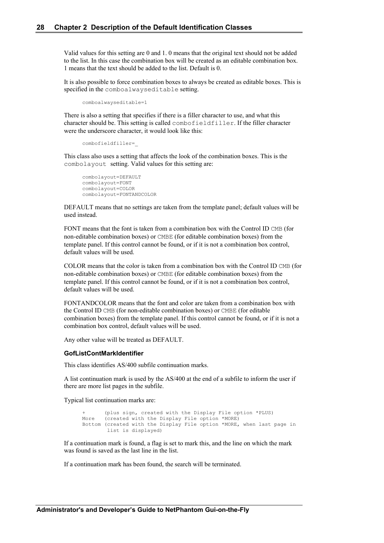Valid values for this setting are 0 and 1. 0 means that the original text should not be added to the list. In this case the combination box will be created as an editable combination box. 1 means that the text should be added to the list. Default is 0.

It is also possible to force combination boxes to always be created as editable boxes. This is specified in the comboalwayseditable setting.

```
comboalwayseditable=1
```
There is also a setting that specifies if there is a filler character to use, and what this character should be. This setting is called combofieldfiller. If the filler character were the underscore character, it would look like this:

```
combofieldfiller=_
```
This class also uses a setting that affects the look of the combination boxes. This is the combolayout setting. Valid values for this setting are:

```
combolayout=DEFAULT
combolayout=FONT
combolayout=COLOR
combolayout=FONTANDCOLOR
```
DEFAULT means that no settings are taken from the template panel; default values will be used instead.

FONT means that the font is taken from a combination box with the Control ID CMB (for non-editable combination boxes) or CMBE (for editable combination boxes) from the template panel. If this control cannot be found, or if it is not a combination box control, default values will be used.

COLOR means that the color is taken from a combination box with the Control ID CMB (for non-editable combination boxes) or CMBE (for editable combination boxes) from the template panel. If this control cannot be found, or if it is not a combination box control, default values will be used.

FONTANDCOLOR means that the font and color are taken from a combination box with the Control ID CMB (for non-editable combination boxes) or CMBE (for editable combination boxes) from the template panel. If this control cannot be found, or if it is not a combination box control, default values will be used.

Any other value will be treated as DEFAULT.

#### **GofListContMarkIdentifier**

This class identifies AS/400 subfile continuation marks.

A list continuation mark is used by the AS/400 at the end of a subfile to inform the user if there are more list pages in the subfile.

Typical list continuation marks are:

(plus sign, created with the Display File option \*PLUS) More (created with the Display File option \*MORE) Bottom (created with the Display File option \*MORE, when last page in list is displayed)

If a continuation mark is found, a flag is set to mark this, and the line on which the mark was found is saved as the last line in the list.

If a continuation mark has been found, the search will be terminated.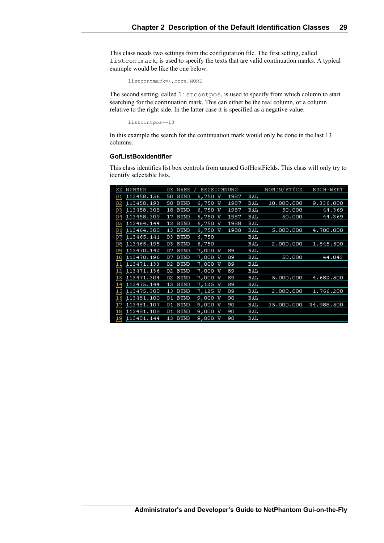This class needs two settings from the configuration file. The first setting, called listcontmark, is used to specify the texts that are valid continuation marks. A typical example would be like the one below:

listcontmark=+,More,MORE

The second setting, called listcontpos, is used to specify from which column to start searching for the continuation mark. This can either be the real column, or a column relative to the right side. In the latter case it is specified as a negative value.

listcontpos=-13

In this example the search for the continuation mark would only be done in the last 13 columns.

### **GofListBoxIdentifier**

This class identifies list box controls from unused GofHostFields. This class will only try to identify selectable lists.

| XX  | NUMMER     | GE | NAME        | <b>BEZEICHNUNG</b> |      |     | NOMIN/STÜCK | BUCH-WERT  |
|-----|------------|----|-------------|--------------------|------|-----|-------------|------------|
| ρ1  | 113458.156 | 50 | <b>BUND</b> | 6,750<br>w         | 1987 | BAL |             |            |
| ρ2  | 113458.193 | 50 | <b>BUND</b> | 6,750<br>w         | 1987 | BAL | 10,000,000  | 9.336.000  |
| ρ3. | 113458.308 | 18 | <b>BUND</b> | 6,750<br>v         | 1987 | BAL | 50,000      | 44.369     |
| 94  | 113458.309 | 17 | <b>BUND</b> | 6,750<br>v         | 1987 | BAL | 50,000      | 44.369     |
| ρ5  | 113464.144 | 13 | <b>BUND</b> | 6,750<br>v         | 1988 | BAL |             |            |
| ρ6  | 113464.300 | 13 | <b>BUND</b> | 6,750<br>v         | 1988 | BAL | 5.000.000   | 4.700.000  |
| ρ7, | 113465.141 | 03 | <b>BUND</b> | 6,750              |      | BAL |             |            |
| 98  | 113465.195 | 03 | <b>BUND</b> | 6,750              |      | BAL | 2.000.000   | 1.845.600  |
| ρ9  | 113470.142 | 07 | <b>BUND</b> | 7,000 V            | 89   | BAL |             |            |
| 10  | 113470.196 | 07 | <b>BUND</b> | 7,000<br>v         | 89   | BAL | 50,000      | 44.043     |
| 11  | 113471.133 | 02 | <b>BUND</b> | 7,000<br>v         | 89   | BAL |             |            |
| 12  | 113471.136 | 02 | <b>BUND</b> | 7,000<br>v         | 89   | BAL |             |            |
| 13  | 113471.304 | 02 | <b>BUND</b> | 7,000<br>v         | 89   | BAL | 5.000.000   | 4.682.500  |
| 14  | 113475.144 | 13 | <b>BUND</b> | 7,125 V            | 89   | BAL |             |            |
| 15  | 113475.300 | 13 | <b>BUND</b> | 7,125 V            | 89   | BAL | 2,000,000   | 1.766.200  |
| 16  | 113481.100 | 01 | <b>BUND</b> | 9,000<br>v         | 90   | BAL |             |            |
| 17  | 113481.107 | 01 | <b>BUND</b> | 9,000<br>v         | 90   | BAL | 35.000.000  | 34.988.500 |
| 18  | 113481.108 | 01 | <b>BUND</b> | 9,000<br>v         | 90   | BAL |             |            |
| 19  | 113481.144 | 13 | <b>BUND</b> | 9,000<br>v         | 90   | BAL |             |            |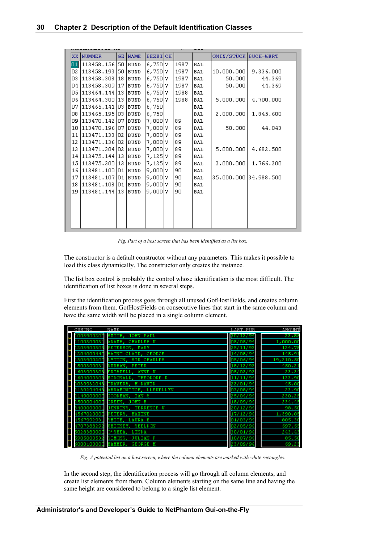| XX  | <b>NUMMER</b>            |      | GE NAME     | <b>BEZEICH</b> |  |       |            | OMIN/STÜCK BUCH-WERT  |           |
|-----|--------------------------|------|-------------|----------------|--|-------|------------|-----------------------|-----------|
| 01  | 113458.156 50            |      | <b>BUND</b> | 6,750 l v      |  | 1987  | <b>BAL</b> |                       |           |
| 02  | 113458.193               | 50   | BUND        | 6,750 V        |  | 1987  | BAL        | 10.000.000            | 9.336.000 |
| 03  | 113458.308               | 18   | <b>BUND</b> | 6,750 V        |  | 11987 | BAL        | 50.000                | 44.369    |
|     | 04 113458.309 17         |      | <b>BUND</b> | 6,750 V        |  | 1987  | BAL        | 50,000                | 44.369    |
|     | 05   113464.144   13     |      | BUND        | 6,750 V        |  | 1988] | BAL        |                       |           |
|     | 06   113464.300   13     |      | <b>BUND</b> | 6,750 V        |  | 1988  | BAL        | 5.000.000             | 4.700.000 |
| 07. | 113465.141 03            |      | BUND        | 6,750          |  |       | BAL        |                       |           |
| 08. | 113465.195 03            |      | BUND        | 6,750          |  |       | BAL        | 2,000,000             | 1.845.600 |
| 09. | 113470.142   07   BUND   |      |             | 7,000 V        |  | 89    | BAL        |                       |           |
| 10  | 1113470.196 07 BUND      |      |             | 7,000 V        |  | 89    | BAL        | 50,000                | 44.043    |
| 11  | 113471.133               | 102. | BUND        | 7,000 V        |  | 89    | BAL        |                       |           |
| 12  | 113471.136 02            |      | BUND        | 7,000 l V      |  | 89    | BAL        |                       |           |
| 13  | 113471.304 02            |      | BUND        | 7,000 V        |  | 189   | BAL        | 5,000,000             | 4.682.500 |
|     | 14   113475.144   13     |      | <b>BUND</b> | $7,125$ $v$    |  | 89    | BAL        |                       |           |
|     | 15   113 4 75 . 300   13 |      | BUND        | 7,125 V        |  | 89    | BAL        | 2,000,000             | 1.766.200 |
| 16  | 113481.100 01 BUND       |      |             | 9,000 v        |  | 90    | BAL        |                       |           |
| 17  | 113481.107 01            |      | BUND        | 9,000 V        |  | 90    | BAL        | 35.000.000 34.988.500 |           |
| 18  | 113481.108 01            |      | BUND        | 9,000 v        |  | 90    | BAL        |                       |           |
| 19  | 113481.144 13            |      | BUND        | 9,000 V        |  | 90    | <b>BAL</b> |                       |           |
|     |                          |      |             |                |  |       |            |                       |           |
|     |                          |      |             |                |  |       |            |                       |           |
|     |                          |      |             |                |  |       |            |                       |           |
|     |                          |      |             |                |  |       |            |                       |           |
|     |                          |      |             |                |  |       |            |                       |           |

*Fig. Part of a host screen that has been identified as a list box.*

The constructor is a default constructor without any parameters. This makes it possible to load this class dynamically. The constructor only creates the instance.

The list box control is probably the control whose identification is the most difficult. The identification of list boxes is done in several steps.

First the identification process goes through all unused GofHostFields, and creates column elements from them. GofHostFields on consecutive lines that start in the same column and have the same width will be placed in a single column element.

| CUSTNO     | NAME                          | LAST PUR       | AMOUNT    |
|------------|-------------------------------|----------------|-----------|
| .003900200 | SMITH.<br>PAUL<br>JOHN        | 30/12/94       | 23.85     |
| 10030003   | ADAMS.<br>CHARLES K           | 05/05/94       | 1,000.00  |
| 1203900303 | PETERSON, MARY                | 25/11/93       | 124.78    |
| 204000440  | SAINT-CLAIR.<br>GEORGE        | 14/08/94       | 145.91    |
| 1303900200 | LYTTON, SIR CHARLES           | 05/06/94       | 19,210.50 |
| 150030003: | <b>PETER</b><br>DURBAN,       | 18/12/93       | 450.21    |
| .603900303 | ANNE<br>M<br>FRISWELL,        | 05/02/92       | 23.34     |
| 604000303  | MCDONALD, THEODORE R          | 11/11/94       | 133.90    |
| 039932043  | TRAVERS.<br>H DAVID           | 22/01/94       | 45.00     |
| 139294943  | ABRAMOVITCH, LLEWELLYN        | 03/08/94       | 23,90     |
| 149000000  | GOODMAN,<br>IAN S             | 25/04/94       | 230.25    |
| 50000400   | в<br>GREEN,<br>JOHN           | 18/09/94       | 234.45    |
| 400000001  | JENKINS, TERRENCE W           | 20/12/94       | 98.50     |
| 567020000  | PETERS.<br><b>MAXINE</b>      | 17/12/94       | 1,390.05  |
| 156799293  | SMITH,<br>LAURA B             | 01/03/94       | 805.30    |
| 1707388292 | <b>SHELDON</b><br>WHITNEY,    | 02/05/94       | 697.65    |
| 502838000  | D'SHEA.<br>LINDA              | 30/01/<br>، و' | 243.43    |
| 5905000532 | SIMONS,<br><b>JULIAN P</b>    | 10/07/94       | 85.50     |
| 5000100000 | HAMMER.<br><b>GEORGE</b><br>M | 23/09/94       | 69,23     |

*Fig. A potential list on a host screen, where the column elements are marked with white rectangles.*

In the second step, the identification process will go through all column elements, and create list elements from them. Column elements starting on the same line and having the same height are considered to belong to a single list element.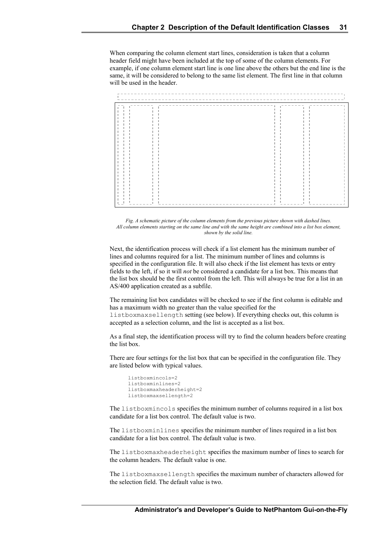When comparing the column element start lines, consideration is taken that a column header field might have been included at the top of some of the column elements. For example, if one column element start line is one line above the others but the end line is the same, it will be considered to belong to the same list element. The first line in that column will be used in the header.





Next, the identification process will check if a list element has the minimum number of lines and columns required for a list. The minimum number of lines and columns is specified in the configuration file. It will also check if the list element has texts or entry fields to the left, if so it will *not* be considered a candidate for a list box. This means that the list box should be the first control from the left. This will always be true for a list in an AS/400 application created as a subfile.

The remaining list box candidates will be checked to see if the first column is editable and has a maximum width no greater than the value specified for the

listboxmaxsellength setting (see below). If everything checks out, this column is accepted as a selection column, and the list is accepted as a list box.

As a final step, the identification process will try to find the column headers before creating the list box.

There are four settings for the list box that can be specified in the configuration file. They are listed below with typical values.

```
listboxmincols=2
listboxminlines=2
listboxmaxheaderheight=2
listboxmaxsellength=2
```
The listboxmincols specifies the minimum number of columns required in a list box candidate for a list box control. The default value is two.

The listboxminlines specifies the minimum number of lines required in a list box candidate for a list box control. The default value is two.

The listboxmaxheaderheight specifies the maximum number of lines to search for the column headers. The default value is one.

The listboxmaxsellength specifies the maximum number of characters allowed for the selection field. The default value is two.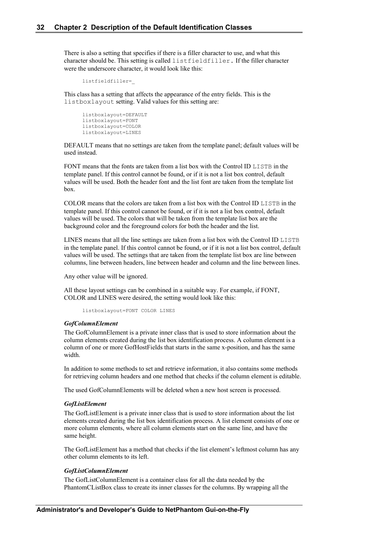There is also a setting that specifies if there is a filler character to use, and what this character should be. This setting is called listfieldfiller. If the filler character were the underscore character, it would look like this:

```
listfieldfiller=_
```
This class has a setting that affects the appearance of the entry fields. This is the listboxlayout setting. Valid values for this setting are:

```
listboxlayout=DEFAULT
listboxlayout=FONT
listboxlayout=COLOR
listboxlayout=LINES
```
DEFAULT means that no settings are taken from the template panel; default values will be used instead.

FONT means that the fonts are taken from a list box with the Control ID LISTB in the template panel. If this control cannot be found, or if it is not a list box control, default values will be used. Both the header font and the list font are taken from the template list box.

COLOR means that the colors are taken from a list box with the Control ID LISTB in the template panel. If this control cannot be found, or if it is not a list box control, default values will be used. The colors that will be taken from the template list box are the background color and the foreground colors for both the header and the list.

LINES means that all the line settings are taken from a list box with the Control ID LISTB in the template panel. If this control cannot be found, or if it is not a list box control, default values will be used. The settings that are taken from the template list box are line between columns, line between headers, line between header and column and the line between lines.

Any other value will be ignored.

All these layout settings can be combined in a suitable way. For example, if FONT, COLOR and LINES were desired, the setting would look like this:

listboxlayout=FONT COLOR LINES

### *GofColumnElement*

The GofColumnElement is a private inner class that is used to store information about the column elements created during the list box identification process. A column element is a column of one or more GofHostFields that starts in the same x-position, and has the same width.

In addition to some methods to set and retrieve information, it also contains some methods for retrieving column headers and one method that checks if the column element is editable.

The used GofColumnElements will be deleted when a new host screen is processed.

### *GofListElement*

The GofListElement is a private inner class that is used to store information about the list elements created during the list box identification process. A list element consists of one or more column elements, where all column elements start on the same line, and have the same height.

The GofListElement has a method that checks if the list element's leftmost column has any other column elements to its left.

#### *GofListColumnElement*

The GofListColumnElement is a container class for all the data needed by the PhantomCListBox class to create its inner classes for the columns. By wrapping all the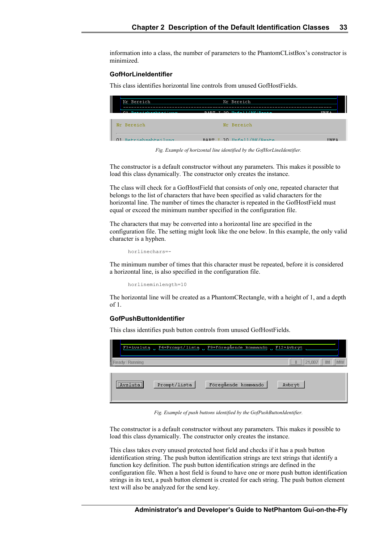information into a class, the number of parameters to the PhantomCListBox's constructor is minimized.

### **GofHorLineIdentifier**

This class identifies horizontal line controls from unused GofHostFields.

| Nr Bereich           | Nr Bereich                |              |
|----------------------|---------------------------|--------------|
| 01 Retriebschteilung | RART I 30 Unfoll/RV/Donto | TIME N       |
| Mr Bereich           | Nr Bereich                |              |
| 01 Retricheshteilung | BART I 30 Unfell/BK/Pente | <b>HMF 3</b> |

*Fig. Example of horizontal line identified by the GofHorLineIdentifier.*

The constructor is a default constructor without any parameters. This makes it possible to load this class dynamically. The constructor only creates the instance.

The class will check for a GofHostField that consists of only one, repeated character that belongs to the list of characters that have been specified as valid characters for the horizontal line. The number of times the character is repeated in the GofHostField must equal or exceed the minimum number specified in the configuration file.

The characters that may be converted into a horizontal line are specified in the configuration file. The setting might look like the one below. In this example, the only valid character is a hyphen.

horlinechars=-

The minimum number of times that this character must be repeated, before it is considered a horizontal line, is also specified in the configuration file.

horlineminlength=10

The horizontal line will be created as a PhantomCRectangle, with a height of 1, and a depth of 1.

#### **GofPushButtonIdentifier**

This class identifies push button controls from unused GofHostFields.

| I<br>F3=Avsluta |              | . F4=Prompt/lista . F9=Föregående kommando | $F12 =$ Avbryt          |
|-----------------|--------------|--------------------------------------------|-------------------------|
| teady / Running |              |                                            | 21.007<br>Ш<br>IM<br>MW |
| <br>Avslutal    | Prompt/lista | Föregående kommando                        | Avbryt                  |

*Fig. Example of push buttons identified by the GofPushButtonIdentifier.*

The constructor is a default constructor without any parameters. This makes it possible to load this class dynamically. The constructor only creates the instance.

This class takes every unused protected host field and checks if it has a push button identification string. The push button identification strings are text strings that identify a function key definition. The push button identification strings are defined in the configuration file. When a host field is found to have one or more push button identification strings in its text, a push button element is created for each string. The push button element text will also be analyzed for the send key.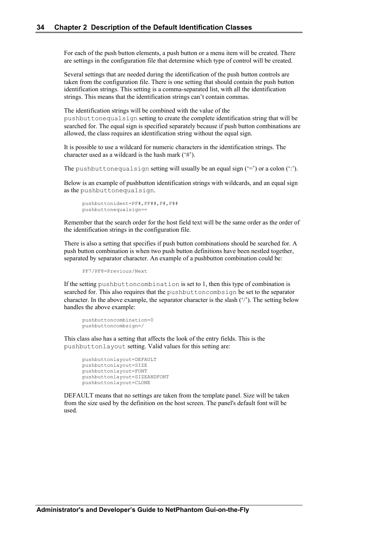For each of the push button elements, a push button or a menu item will be created. There are settings in the configuration file that determine which type of control will be created.

Several settings that are needed during the identification of the push button controls are taken from the configuration file. There is one setting that should contain the push button identification strings. This setting is a comma-separated list, with all the identification strings. This means that the identification strings can't contain commas.

The identification strings will be combined with the value of the pushbuttonequalsign setting to create the complete identification string that will be searched for. The equal sign is specified separately because if push button combinations are allowed, the class requires an identification string without the equal sign.

It is possible to use a wildcard for numeric characters in the identification strings. The character used as a wildcard is the hash mark ('#').

The pushbuttonequalsign setting will usually be an equal sign  $(')$  or a colon  $(')$ .

Below is an example of pushbutton identification strings with wildcards, and an equal sign as the pushbuttonequalsign.

```
pushbuttonident=PF#,PF##,F#,F##
pushbuttonequalsign==
```
Remember that the search order for the host field text will be the same order as the order of the identification strings in the configuration file.

There is also a setting that specifies if push button combinations should be searched for. A push button combination is when two push button definitions have been nestled together, separated by separator character. An example of a pushbutton combination could be:

```
PF7/PF8=Previous/Next
```
If the setting pushbuttoncombination is set to 1, then this type of combination is searched for. This also requires that the pushbuttoncombsign be set to the separator character. In the above example, the separator character is the slash ('/'). The setting below handles the above example:

```
pushbuttoncombination=0
pushbuttoncombsign=/
```
This class also has a setting that affects the look of the entry fields. This is the pushbuttonlayout setting. Valid values for this setting are:

```
pushbuttonlayout=DEFAULT
pushbuttonlayout=SIZE
pushbuttonlayout=FONT
pushbuttonlayout=SIZEANDFONT
pushbuttonlayout=CLONE
```
DEFAULT means that no settings are taken from the template panel. Size will be taken from the size used by the definition on the host screen. The panel's default font will be used.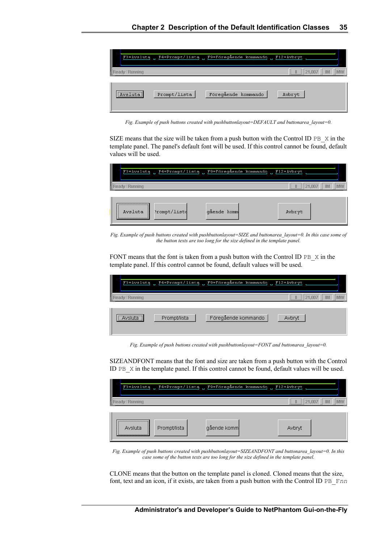|                                                             | F3=Avsluta _ F4=Prompt/lista _ F9=Föregående kommando _ F12=Avbryt |                            |
|-------------------------------------------------------------|--------------------------------------------------------------------|----------------------------|
| eady / Running                                              |                                                                    | 21.007<br>Ш<br>IM<br>ທານານ |
| ,,,,,,,,,,,,,,,,,,,,,,,,,,,,,,,,<br>Prompt/lista<br>Avsluta | Föregående kommando                                                | Avbryt                     |

*Fig. Example of push buttons created with pushbuttonlayout=DEFAULT and buttonarea\_layout=0.*

SIZE means that the size will be taken from a push button with the Control ID PB  $\times$  in the template panel. The panel's default font will be used. If this control cannot be found, default values will be used.

| I |                 |              | F3=Avsluta _ F4=Prompt/lista _ F9=Föregående kommando _ F12=Avbryt |             |    |
|---|-----------------|--------------|--------------------------------------------------------------------|-------------|----|
|   | Ready / Running |              |                                                                    | 21.007<br>Ш | IM |
|   | Avsluta         | Prompt/lists | gående komm                                                        | Avbryt      |    |

*Fig. Example of push buttons created with pushbuttonlayout=SIZE and buttonarea\_layout=0. In this case some of the button texts are too long for the size defined in the template panel.*

FONT means that the font is taken from a push button with the Control ID PB X in the template panel. If this control cannot be found, default values will be used.

| I<br>F3=Avsluta | . F4=Prompt/lista . F9=Föregående kommando . |                     | F12=Avbryt                            |
|-----------------|----------------------------------------------|---------------------|---------------------------------------|
| Ready / Running |                                              |                     | <b>MW</b><br>Π<br>21.007<br><b>IM</b> |
| Avsluta         | Prompt/lista                                 | Föregående kommando | Avbryt                                |

*Fig. Example of push buttons created with pushbuttonlayout=FONT and buttonarea\_layout=0.*

SIZEANDFONT means that the font and size are taken from a push button with the Control ID PB\_X in the template panel. If this control cannot be found, default values will be used.

| I             |              | F3=Avsluta _ F4=Prompt/lista _ F9=Föregående kommando _ F12=Avbryt |                  |
|---------------|--------------|--------------------------------------------------------------------|------------------|
| ady / Running |              |                                                                    | .007<br>21<br>тм |
| <br>Avsluta   | Prompt/lista | gående komm                                                        | Avbryt           |

*Fig. Example of push buttons created with pushbuttonlayout=SIZEANDFONT and buttonarea\_layout=0. In this case some of the button texts are too long for the size defined in the template panel.*

CLONE means that the button on the template panel is cloned. Cloned means that the size, font, text and an icon, if it exists, are taken from a push button with the Control ID PB\_F*nn*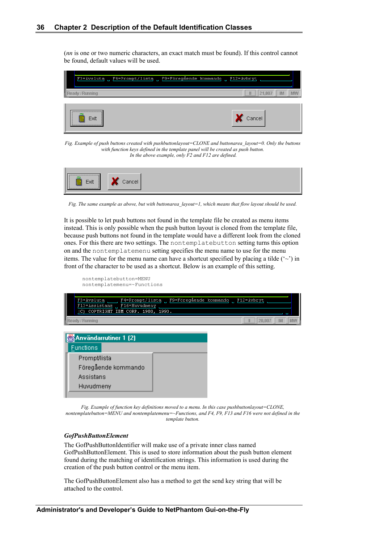(*nn* is one or two numeric characters, an exact match must be found). If this control cannot be found, default values will be used.



*Fig. Example of push buttons created with pushbuttonlayout=CLONE and buttonarea\_layout=0. Only the buttons with function keys defined in the template panel will be created as push button. In the above example, only F2 and F12 are defined.*



*Fig. The same example as above, but with buttonarea\_layout=1, which means that flow layout should be used.*

It is possible to let push buttons not found in the template file be created as menu items instead. This is only possible when the push button layout is cloned from the template file, because push buttons not found in the template would have a different look from the cloned ones. For this there are two settings. The nontemplatebutton setting turns this option on and the nontemplatemenu setting specifies the menu name to use for the menu items. The value for the menu name can have a shortcut specified by placing a tilde  $(\sim)$  in front of the character to be used as a shortcut. Below is an example of this setting.

| nontemplatebutton=MENU<br>nontemplatemenu=~Functions                                                                           |            |   |        |    |           |
|--------------------------------------------------------------------------------------------------------------------------------|------------|---|--------|----|-----------|
| F4=Prompt/lista , F9=Föregående kommando ,<br>F3=Avslutą<br>F13=Assistans F16=Huvudmeny<br>(C) COPYRIGHT IBM CORP. 1980, 1993. | F12=Avbryt |   |        |    |           |
| Ready / Running                                                                                                                |            | Ш | 20,007 | IM | <b>MW</b> |
| Användarrutiner 1 (2)<br><b>Functions</b>                                                                                      |            |   |        |    |           |
| Prompt/lista<br>Föregående kommando<br>Assistans<br>Huvudmeny                                                                  |            |   |        |    |           |
|                                                                                                                                |            |   |        |    |           |

*Fig. Example of function key definitions moved to a menu. In this case pushbuttonlayout=CLONE, nontemplatebutton=MENU and nontemplatemenu=~Functions, and F4, F9, F13 and F16 were not defined in the template button.*

#### *GofPushButtonElement*

The GofPushButtonIdentifier will make use of a private inner class named GofPushButtonElement. This is used to store information about the push button element found during the matching of identification strings. This information is used during the creation of the push button control or the menu item.

The GofPushButtonElement also has a method to get the send key string that will be attached to the control.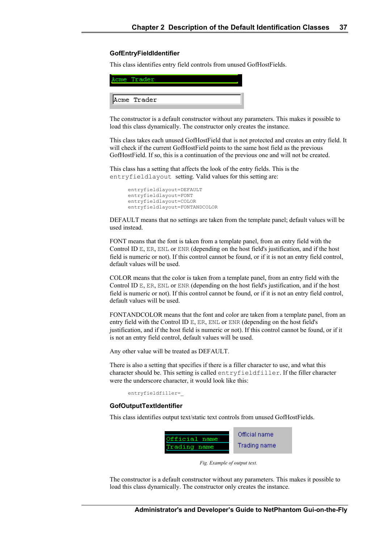### **GofEntryFieldIdentifier**

This class identifies entry field controls from unused GofHostFields.

| Acme Trader |  |  |
|-------------|--|--|

The constructor is a default constructor without any parameters. This makes it possible to load this class dynamically. The constructor only creates the instance.

This class takes each unused GofHostField that is not protected and creates an entry field. It will check if the current GofHostField points to the same host field as the previous GofHostField. If so, this is a continuation of the previous one and will not be created.

This class has a setting that affects the look of the entry fields. This is the entryfieldlayout setting. Valid values for this setting are:

```
entryfieldlayout=DEFAULT
entryfieldlayout=FONT
entryfieldlayout=COLOR
entryfieldlayout=FONTANDCOLOR
```
DEFAULT means that no settings are taken from the template panel; default values will be used instead.

FONT means that the font is taken from a template panel, from an entry field with the Control ID E, ER, ENL or ENR (depending on the host field's justification, and if the host field is numeric or not). If this control cannot be found, or if it is not an entry field control, default values will be used.

COLOR means that the color is taken from a template panel, from an entry field with the Control ID E, ER, ENL or ENR (depending on the host field's justification, and if the host field is numeric or not). If this control cannot be found, or if it is not an entry field control, default values will be used.

FONTANDCOLOR means that the font and color are taken from a template panel, from an entry field with the Control ID E, ER, ENL or ENR (depending on the host field's justification, and if the host field is numeric or not). If this control cannot be found, or if it is not an entry field control, default values will be used.

Any other value will be treated as DEFAULT.

There is also a setting that specifies if there is a filler character to use, and what this character should be. This setting is called entryfieldfiller. If the filler character were the underscore character, it would look like this:

entryfieldfiller=\_

#### **GofOutputTextIdentifier**

This class identifies output text/static text controls from unused GofHostFields.



*Fig. Example of output text.*

The constructor is a default constructor without any parameters. This makes it possible to load this class dynamically. The constructor only creates the instance.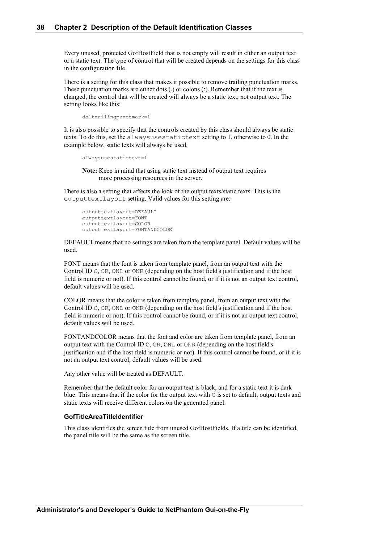Every unused, protected GofHostField that is not empty will result in either an output text or a static text. The type of control that will be created depends on the settings for this class in the configuration file.

There is a setting for this class that makes it possible to remove trailing punctuation marks. These punctuation marks are either dots (.) or colons (:). Remember that if the text is changed, the control that will be created will always be a static text, not output text. The setting looks like this:

deltrailingpunctmark=1

It is also possible to specify that the controls created by this class should always be static texts. To do this, set the alwaysusestatictext setting to 1, otherwise to 0. In the example below, static texts will always be used.

```
alwaysusestatictext=1
```
**Note:** Keep in mind that using static text instead of output text requires more processing resources in the server.

There is also a setting that affects the look of the output texts/static texts. This is the outputtextlayout setting. Valid values for this setting are:

```
outputtextlayout=DEFAULT
outputtextlayout=FONT
outputtextlayout=COLOR
outputtextlayout=FONTANDCOLOR
```
DEFAULT means that no settings are taken from the template panel. Default values will be used.

FONT means that the font is taken from template panel, from an output text with the Control ID O, OR, ONL or ONR (depending on the host field's justification and if the host field is numeric or not). If this control cannot be found, or if it is not an output text control, default values will be used.

COLOR means that the color is taken from template panel, from an output text with the Control ID O, OR, ONL or ONR (depending on the host field's justification and if the host field is numeric or not). If this control cannot be found, or if it is not an output text control, default values will be used.

FONTANDCOLOR means that the font and color are taken from template panel, from an output text with the Control ID O, OR, ONL or ONR (depending on the host field's justification and if the host field is numeric or not). If this control cannot be found, or if it is not an output text control, default values will be used.

Any other value will be treated as DEFAULT.

Remember that the default color for an output text is black, and for a static text it is dark blue. This means that if the color for the output text with  $\circ$  is set to default, output texts and static texts will receive different colors on the generated panel.

### **GofTitleAreaTitleIdentifier**

This class identifies the screen title from unused GofHostFields. If a title can be identified, the panel title will be the same as the screen title.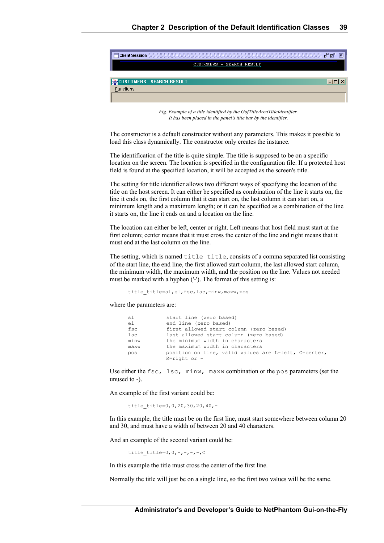

*Fig. Example of a title identified by the GofTitleAreaTitleIdentifier. It has been placed in the panel's title bar by the identifier.* 

The constructor is a default constructor without any parameters. This makes it possible to load this class dynamically. The constructor only creates the instance.

The identification of the title is quite simple. The title is supposed to be on a specific location on the screen. The location is specified in the configuration file. If a protected host field is found at the specified location, it will be accepted as the screen's title.

The setting for title identifier allows two different ways of specifying the location of the title on the host screen. It can either be specified as combination of the line it starts on, the line it ends on, the first column that it can start on, the last column it can start on, a minimum length and a maximum length; or it can be specified as a combination of the line it starts on, the line it ends on and a location on the line.

The location can either be left, center or right. Left means that host field must start at the first column; center means that it must cross the center of the line and right means that it must end at the last column on the line.

The setting, which is named title title, consists of a comma separated list consisting of the start line, the end line, the first allowed start column, the last allowed start column, the minimum width, the maximum width, and the position on the line. Values not needed must be marked with a hyphen ('-'). The format of this setting is:

title title=sl,el,fsc,lsc,minw,maxw,pos

where the parameters are:

| sl              | start line (zero based)                              |  |  |  |  |
|-----------------|------------------------------------------------------|--|--|--|--|
| el              | end line (zero based)                                |  |  |  |  |
| fsc             | first allowed start column (zero based)              |  |  |  |  |
| $_{\text{1sc}}$ | last allowed start column (zero based)               |  |  |  |  |
| minw            | the minimum width in characters                      |  |  |  |  |
| maxw            | the maximum width in characters                      |  |  |  |  |
| pos             | position on line, valid values are L=left, C=center, |  |  |  |  |
|                 | $R = right$ or -                                     |  |  |  |  |

Use either the  $fsc, \; lsc, \; minw, \; maxw$  combination or the pos parameters (set the unused to -).

An example of the first variant could be:

title title=0,0,20,30,20,40,-

In this example, the title must be on the first line, must start somewhere between column 20 and 30, and must have a width of between 20 and 40 characters.

And an example of the second variant could be:

title title=0,0,-,-,-,-,C

In this example the title must cross the center of the first line.

Normally the title will just be on a single line, so the first two values will be the same.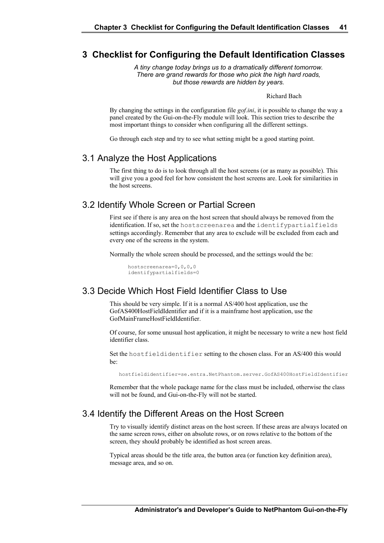### **3 Checklist for Configuring the Default Identification Classes**

*A tiny change today brings us to a dramatically different tomorrow. There are grand rewards for those who pick the high hard roads, but those rewards are hidden by years.*

Richard Bach

By changing the settings in the configuration file *gof.ini*, it is possible to change the way a panel created by the Gui-on-the-Fly module will look. This section tries to describe the most important things to consider when configuring all the different settings.

Go through each step and try to see what setting might be a good starting point.

### 3.1 Analyze the Host Applications

The first thing to do is to look through all the host screens (or as many as possible). This will give you a good feel for how consistent the host screens are. Look for similarities in the host screens.

### 3.2 Identify Whole Screen or Partial Screen

First see if there is any area on the host screen that should always be removed from the identification. If so, set the hostscreenarea and the identifypartialfields settings accordingly. Remember that any area to exclude will be excluded from each and every one of the screens in the system.

Normally the whole screen should be processed, and the settings would the be:

hostscreenarea=0,0,0,0 identifypartialfields=0

### 3.3 Decide Which Host Field Identifier Class to Use

This should be very simple. If it is a normal AS/400 host application, use the GofAS400HostFieldIdentifier and if it is a mainframe host application, use the GofMainFrameHostFieldIdentifier.

Of course, for some unusual host application, it might be necessary to write a new host field identifier class.

Set the hostfieldidentifier setting to the chosen class. For an AS/400 this would be:

hostfieldidentifier=se.entra.NetPhantom.server.GofAS400HostFieldIdentifier

Remember that the whole package name for the class must be included, otherwise the class will not be found, and Gui-on-the-Fly will not be started.

### 3.4 Identify the Different Areas on the Host Screen

Try to visually identify distinct areas on the host screen. If these areas are always located on the same screen rows, either on absolute rows, or on rows relative to the bottom of the screen, they should probably be identified as host screen areas.

Typical areas should be the title area, the button area (or function key definition area), message area, and so on.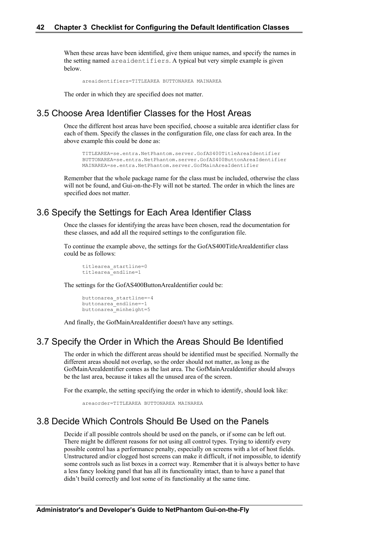When these areas have been identified, give them unique names, and specify the names in the setting named areaidentifiers. A typical but very simple example is given below.

areaidentifiers=TITLEAREA BUTTONAREA MAINAREA

The order in which they are specified does not matter.

### 3.5 Choose Area Identifier Classes for the Host Areas

Once the different host areas have been specified, choose a suitable area identifier class for each of them. Specify the classes in the configuration file, one class for each area. In the above example this could be done as:

```
TITLEAREA=se.entra.NetPhantom.server.GofAS400TitleAreaIdentifier
BUTTONAREA=se.entra.NetPhantom.server.GofAS400ButtonAreaIdentifier
MAINAREA=se.entra.NetPhantom.server.GofMainAreaIdentifier
```
Remember that the whole package name for the class must be included, otherwise the class will not be found, and Gui-on-the-Fly will not be started. The order in which the lines are specified does not matter.

### 3.6 Specify the Settings for Each Area Identifier Class

Once the classes for identifying the areas have been chosen, read the documentation for these classes, and add all the required settings to the configuration file.

To continue the example above, the settings for the GofAS400TitleAreaIdentifier class could be as follows:

```
titlearea_startline=0
titlearea_endline=1
```
The settings for the GofAS400ButtonAreaIdentifier could be:

```
buttonarea_startline=-4
buttonarea_endline=-1
buttonarea_minheight=5
```
And finally, the GofMainAreaIdentifier doesn't have any settings.

### 3.7 Specify the Order in Which the Areas Should Be Identified

The order in which the different areas should be identified must be specified. Normally the different areas should not overlap, so the order should not matter, as long as the GofMainAreaIdentifier comes as the last area. The GofMainAreaIdentifier should always be the last area, because it takes all the unused area of the screen.

For the example, the setting specifying the order in which to identify, should look like:

```
areaorder=TITLEAREA BUTTONAREA MAINAREA
```
### 3.8 Decide Which Controls Should Be Used on the Panels

Decide if all possible controls should be used on the panels, or if some can be left out. There might be different reasons for not using all control types. Trying to identify every possible control has a performance penalty, especially on screens with a lot of host fields. Unstructured and/or clogged host screens can make it difficult, if not impossible, to identify some controls such as list boxes in a correct way. Remember that it is always better to have a less fancy looking panel that has all its functionality intact, than to have a panel that didn't build correctly and lost some of its functionality at the same time.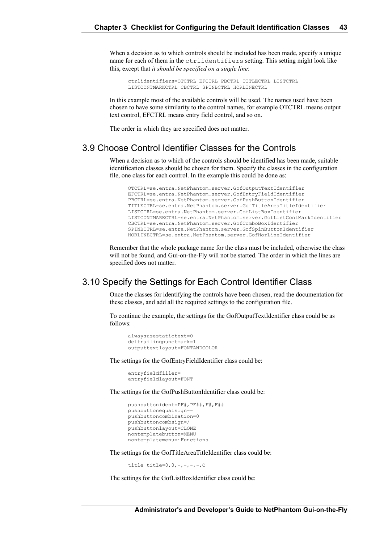When a decision as to which controls should be included has been made, specify a unique name for each of them in the ctrlidentifiers setting. This setting might look like this, except that *it should be specified on a single line*:

ctrlidentifiers=OTCTRL EFCTRL PBCTRL TITLECTRL LISTCTRL LISTCONTMARKCTRL CBCTRL SPINBCTRL HORLINECTRL

In this example most of the available controls will be used. The names used have been chosen to have some similarity to the control names, for example OTCTRL means output text control, EFCTRL means entry field control, and so on.

The order in which they are specified does not matter.

### 3.9 Choose Control Identifier Classes for the Controls

When a decision as to which of the controls should be identified has been made, suitable identification classes should be chosen for them. Specify the classes in the configuration file, one class for each control. In the example this could be done as:

```
OTCTRL=se.entra.NetPhantom.server.GofOutputTextIdentifier
EFCTRL=se.entra.NetPhantom.server.GofEntryFieldIdentifier
PBCTRL=se.entra.NetPhantom.server.GofPushButtonIdentifier
TITLECTRL=se.entra.NetPhantom.server.GofTitleAreaTitleIdentifier
LISTCTRL=se.entra.NetPhantom.server.GofListBoxIdentifier
LISTCONTMARKCTRL=se.entra.NetPhantom.server.GofListContMarkIdentifier
CBCTRL=se.entra.NetPhantom.server.GofComboBoxIdentifier
SPINBCTRL=se.entra.NetPhantom.server.GofSpinButtonIdentifier
HORLINECTRL=se.entra.NetPhantom.server.GofHorLineIdentifier
```
Remember that the whole package name for the class must be included, otherwise the class will not be found, and Gui-on-the-Fly will not be started. The order in which the lines are specified does not matter.

### 3.10 Specify the Settings for Each Control Identifier Class

Once the classes for identifying the controls have been chosen, read the documentation for these classes, and add all the required settings to the configuration file.

To continue the example, the settings for the GofOutputTextIdentifier class could be as follows:

```
alwaysusestatictext=0
deltrailingpunctmark=1
outputtextlayout=FONTANDCOLOR
```
The settings for the GofEntryFieldIdentifier class could be:

```
entryfieldfiller=_
entryfieldlayout=FONT
```
The settings for the GofPushButtonIdentifier class could be:

```
pushbuttonident=PF#,PF##,F#,F##
pushbuttonequalsign==
pushbuttoncombination=0
pushbuttoncombsign=/
pushbuttonlayout=CLONE
nontemplatebutton=MENU
nontemplatemenu=~Functions
```
The settings for the GofTitleAreaTitleIdentifier class could be:

title title=0,0,-,-,-,-,C

The settings for the GofListBoxIdentifier class could be: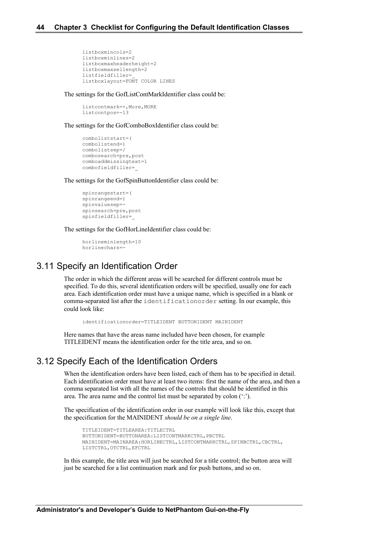```
listboxmincols=2
listboxminlines=2
listboxmaxheaderheight=2
listboxmaxsellength=2
listfieldfiller=_
listboxlayout=FONT COLOR LINES
```
The settings for the GofListContMarkIdentifier class could be:

listcontmark=+,More,MORE listcontpos=-13

The settings for the GofComboBoxIdentifier class could be:

```
comboliststart=(
combolistend=)
combolistsep=/
combosearch=pre,post
comboaddmissingtext=1
combofieldfiller=_
```
The settings for the GofSpinButtonIdentifier class could be:

```
spinrangestart=(
spinrangeend=)
spinvaluesep=-
spinsearch=pre,post
spinfieldfiller=_
```
The settings for the GofHorLineIdentifier class could be:

```
horlineminlength=10
horlinechars=-
```
### 3.11 Specify an Identification Order

The order in which the different areas will be searched for different controls must be specified. To do this, several identification orders will be specified, usually one for each area. Each identification order must have a unique name, which is specified in a blank or comma-separated list after the identificationorder setting. In our example, this could look like:

identificationorder=TITLEIDENT BUTTONIDENT MAINIDENT

Here names that have the areas name included have been chosen, for example TITLEIDENT means the identification order for the title area, and so on.

### 3.12 Specify Each of the Identification Orders

When the identification orders have been listed, each of them has to be specified in detail. Each identification order must have at least two items: first the name of the area, and then a comma separated list with all the names of the controls that should be identified in this area. The area name and the control list must be separated by colon (':').

The specification of the identification order in our example will look like this, except that the specification for the MAINIDENT *should be on a single line*.

TITLEIDENT=TITLEAREA:TITLECTRL BUTTONIDENT=BUTTONAREA:LISTCONTMARKCTRL,PBCTRL MAINIDENT=MAINAREA:HORLINECTRL,LISTCONTMARKCTRL,SPINBCTRL,CBCTRL, LISTCTRL,OTCTRL,EFCTRL

In this example, the title area will just be searched for a title control; the button area will just be searched for a list continuation mark and for push buttons, and so on.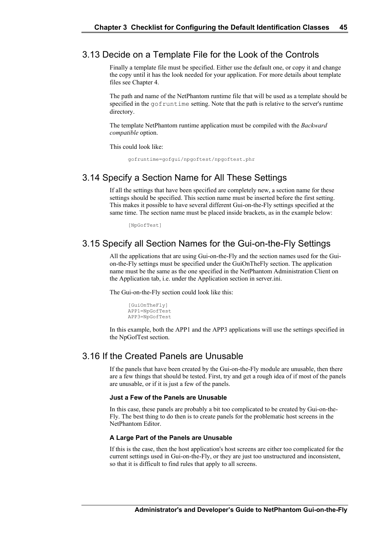### 3.13 Decide on a Template File for the Look of the Controls

Finally a template file must be specified. Either use the default one, or copy it and change the copy until it has the look needed for your application. For more details about template files see Chapter 4.

The path and name of the NetPhantom runtime file that will be used as a template should be specified in the gofruntime setting. Note that the path is relative to the server's runtime directory.

The template NetPhantom runtime application must be compiled with the *Backward compatible* option.

This could look like:

gofruntime=gofgui/npgoftest/npgoftest.phr

### 3.14 Specify a Section Name for All These Settings

If all the settings that have been specified are completely new, a section name for these settings should be specified. This section name must be inserted before the first setting. This makes it possible to have several different Gui-on-the-Fly settings specified at the same time. The section name must be placed inside brackets, as in the example below:

[NpGofTest]

### 3.15 Specify all Section Names for the Gui-on-the-Fly Settings

All the applications that are using Gui-on-the-Fly and the section names used for the Guion-the-Fly settings must be specified under the GuiOnTheFly section. The application name must be the same as the one specified in the NetPhantom Administration Client on the Application tab, i.e. under the Application section in server.ini.

The Gui-on-the-Fly section could look like this:

[GuiOnTheFly] APP1=NpGofTest APP3=NpGofTest

In this example, both the APP1 and the APP3 applications will use the settings specified in the NpGofTest section.

### 3.16 If the Created Panels are Unusable

If the panels that have been created by the Gui-on-the-Fly module are unusable, then there are a few things that should be tested. First, try and get a rough idea of if most of the panels are unusable, or if it is just a few of the panels.

### **Just a Few of the Panels are Unusable**

In this case, these panels are probably a bit too complicated to be created by Gui-on-the-Fly. The best thing to do then is to create panels for the problematic host screens in the NetPhantom Editor.

#### **A Large Part of the Panels are Unusable**

If this is the case, then the host application's host screens are either too complicated for the current settings used in Gui-on-the-Fly, or they are just too unstructured and inconsistent, so that it is difficult to find rules that apply to all screens.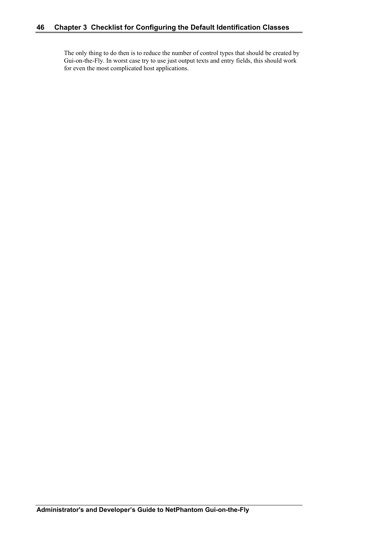The only thing to do then is to reduce the number of control types that should be created by Gui-on-the-Fly. In worst case try to use just output texts and entry fields, this should work for even the most complicated host applications.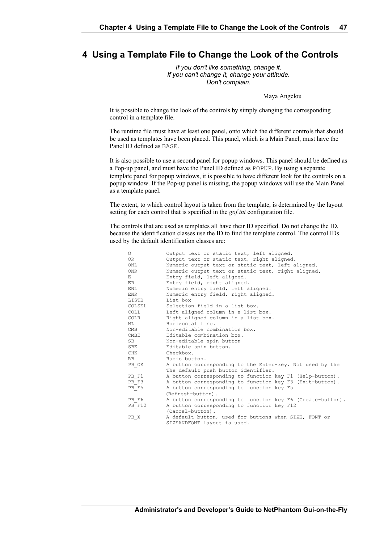### **4 Using a Template File to Change the Look of the Controls**

*If you don't like something, change it. If you can't change it, change your attitude. Don't complain.*

Maya Angelou

It is possible to change the look of the controls by simply changing the corresponding control in a template file.

The runtime file must have at least one panel, onto which the different controls that should be used as templates have been placed. This panel, which is a Main Panel, must have the Panel ID defined as BASE.

It is also possible to use a second panel for popup windows. This panel should be defined as a Pop-up panel, and must have the Panel ID defined as POPUP. By using a separate template panel for popup windows, it is possible to have different look for the controls on a popup window. If the Pop-up panel is missing, the popup windows will use the Main Panel as a template panel.

The extent, to which control layout is taken from the template, is determined by the layout setting for each control that is specified in the *gof.ini* configuration file.

The controls that are used as templates all have their ID specified. Do not change the ID, because the identification classes use the ID to find the template control. The control IDs used by the default identification classes are:

| $\circ$   | Output text or static text, left aligned.                  |  |  |  |  |  |
|-----------|------------------------------------------------------------|--|--|--|--|--|
| 0R        | Output text or static text, right aligned.                 |  |  |  |  |  |
| ONL       | Numeric output text or static text, left aligned.          |  |  |  |  |  |
| ONR       | Numeric output text or static text, right aligned.         |  |  |  |  |  |
| E         | Entry field, left aligned.                                 |  |  |  |  |  |
| ER        | Entry field, right aligned.                                |  |  |  |  |  |
| ENL       | Numeric entry field, left aligned.                         |  |  |  |  |  |
| ENR       | Numeric entry field, right aligned.                        |  |  |  |  |  |
| LISTB     | List box                                                   |  |  |  |  |  |
| COLSEL    | Selection field in a list box.                             |  |  |  |  |  |
| COLL      | Left aligned column in a list box.                         |  |  |  |  |  |
| COLR      | Right aligned column in a list box.                        |  |  |  |  |  |
| HT.       | Horizontal line.                                           |  |  |  |  |  |
| CMB       | Non-editable combination box.                              |  |  |  |  |  |
| CMBE      | Editable combination box.                                  |  |  |  |  |  |
| SB        | Non-editable spin button                                   |  |  |  |  |  |
| SBE       | Editable spin button.                                      |  |  |  |  |  |
| CHK       | Checkbox.                                                  |  |  |  |  |  |
| <b>RB</b> | Radio button.                                              |  |  |  |  |  |
| PB OK     | A button corresponding to the Enter-key. Not used by the   |  |  |  |  |  |
|           | The default push button identifier.                        |  |  |  |  |  |
| PB F1     | A button corresponding to function key F1 (Help-button).   |  |  |  |  |  |
| PB F3     | A button corresponding to function key F3 (Exit-button).   |  |  |  |  |  |
| PB F5     | A button corresponding to function key F5                  |  |  |  |  |  |
|           | (Refresh-button).                                          |  |  |  |  |  |
| PB F6     | A button corresponding to function key F6 (Create-button). |  |  |  |  |  |
| PB F12    | A button corresponding to function key F12                 |  |  |  |  |  |
|           | (Cancel-button).                                           |  |  |  |  |  |
| PB X      | A default button, used for buttons when SIZE, FONT or      |  |  |  |  |  |
|           | SIZEANDFONT layout is used.                                |  |  |  |  |  |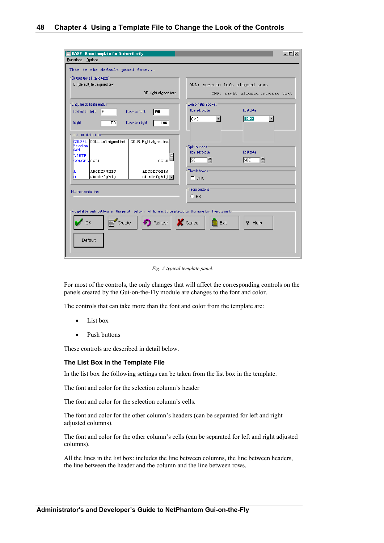| <b>BASE: Base template for Gui-on-the-fly</b><br>Functions Options                                                           | <u> - 미지</u>                                                 |  |  |  |
|------------------------------------------------------------------------------------------------------------------------------|--------------------------------------------------------------|--|--|--|
| This is the default panel font                                                                                               |                                                              |  |  |  |
| Dutput texts [static texts]:                                                                                                 |                                                              |  |  |  |
| 0: (default) left aligned text                                                                                               | ONL: numeric left aligned text                               |  |  |  |
| OR: right aligned text                                                                                                       | ONR: right aligned numeric text                              |  |  |  |
| Entry fields (data entry)-                                                                                                   | Combination boxes:                                           |  |  |  |
| (Default) left<br>1E<br>Numeric left<br><b>ENL</b>                                                                           | Non-editable<br>Editable                                     |  |  |  |
| ER.<br>Numeric right<br>Right                                                                                                | <b>CMBE</b><br>CMB<br>$\overline{\phantom{a}}$<br><b>ENR</b> |  |  |  |
| List box definiton                                                                                                           |                                                              |  |  |  |
| COLSEL: COLL: Left aligned text<br>COLR: Right aligned text<br>Selection<br>field                                            | Spin buttons<br>Non-editable<br>Editable                     |  |  |  |
| LISTB<br> COLSEL COLL                                                                                                        | ÷<br>奇<br><b>SBE</b><br>ls B<br>COLR <sup>1</sup>            |  |  |  |
| ABCDEFGHIJ<br>ABCDEFGHIJ<br>IA.                                                                                              | Check boxes:                                                 |  |  |  |
| abcdefghij<br>$abcd$ efghij $\blacksquare$<br>la.                                                                            | $\Box$ CHK                                                   |  |  |  |
|                                                                                                                              |                                                              |  |  |  |
| HL: horizontal line                                                                                                          | Radio buttons:                                               |  |  |  |
|                                                                                                                              | $C$ RB                                                       |  |  |  |
|                                                                                                                              |                                                              |  |  |  |
| -Acceptable push buttons in the panel. Buttons not here will be placed in the menu bar (Functions). $\overline{\phantom{a}}$ |                                                              |  |  |  |
| Refresh   X Cancel<br>$Create \mid \cdot$<br>Exit<br><b>OK</b><br>Q.<br>Help                                                 |                                                              |  |  |  |
| Default                                                                                                                      |                                                              |  |  |  |
|                                                                                                                              |                                                              |  |  |  |

*Fig. A typical template panel.*

For most of the controls, the only changes that will affect the corresponding controls on the panels created by the Gui-on-the-Fly module are changes to the font and color.

The controls that can take more than the font and color from the template are:

- List box
- Push buttons

These controls are described in detail below.

### **The List Box in the Template File**

In the list box the following settings can be taken from the list box in the template.

The font and color for the selection column's header

The font and color for the selection column's cells.

The font and color for the other column's headers (can be separated for left and right adjusted columns).

The font and color for the other column's cells (can be separated for left and right adjusted columns).

All the lines in the list box: includes the line between columns, the line between headers, the line between the header and the column and the line between rows.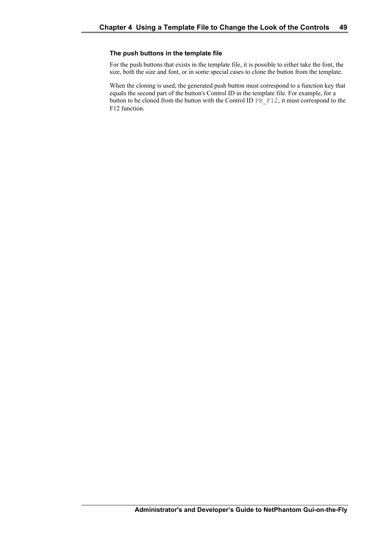### **The push buttons in the template file**

For the push buttons that exists in the template file, it is possible to either take the font, the size, both the size and font, or in some special cases to clone the button from the template.

When the cloning is used, the generated push button must correspond to a function key that equals the second part of the button's Control ID in the template file. For example, for a button to be cloned from the button with the Control ID PB F12, it must correspond to the F12 function.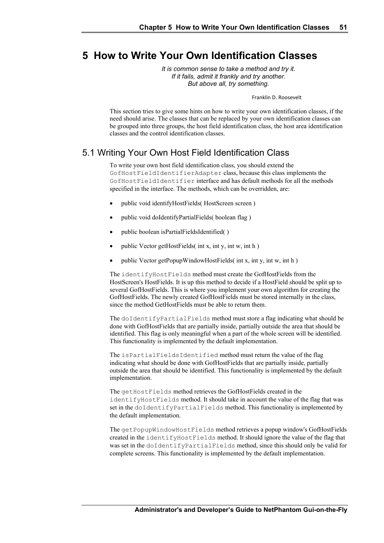### **5 How to Write Your Own Identification Classes**

*It is common sense to take a method and try it. If it fails, admit it frankly and try another. But above all, try something.*

Franklin D. Roosevelt

This section tries to give some hints on how to write your own identification classes, if the need should arise. The classes that can be replaced by your own identification classes can be grouped into three groups, the host field identification class, the host area identification classes and the control identification classes.

### 5.1 Writing Your Own Host Field Identification Class

To write your own host field identification class, you should extend the GofHostFieldIdentifierAdapter class, because this class implements the GofHostFieldIdentifier interface and has default methods for all the methods specified in the interface. The methods, which can be overridden, are:

- public void identifyHostFields( HostScreen screen )
- public void doIdentifyPartialFields( boolean flag )
- public boolean isPartialFieldsIdentified( )
- public Vector getHostFields( int x, int y, int w, int h )
- public Vector getPopupWindowHostFields( int x, int y, int w, int h )

The identifyHostFields method must create the GofHostFields from the HostScreen's HostFields. It is up this method to decide if a HostField should be split up to several GofHostFields. This is where you implement your own algorithm for creating the GofHostFields. The newly created GofHostFields must be stored internally in the class, since the method GetHostFields must be able to return them.

The doIdentifyPartialFields method must store a flag indicating what should be done with GofHostFields that are partially inside, partially outside the area that should be identified. This flag is only meaningful when a part of the whole screen will be identified. This functionality is implemented by the default implementation.

The isPartialFieldsIdentified method must return the value of the flag indicating what should be done with GofHostFields that are partially inside, partially outside the area that should be identified. This functionality is implemented by the default implementation.

The getHostFields method retrieves the GofHostFields created in the identifyHostFields method. It should take in account the value of the flag that was set in the doIdentifyPartialFields method. This functionality is implemented by the default implementation.

The getPopupWindowHostFields method retrieves a popup window's GofHostFields created in the identifyHostFields method. It should ignore the value of the flag that was set in the doIdentifyPartialFields method, since this should only be valid for complete screens. This functionality is implemented by the default implementation.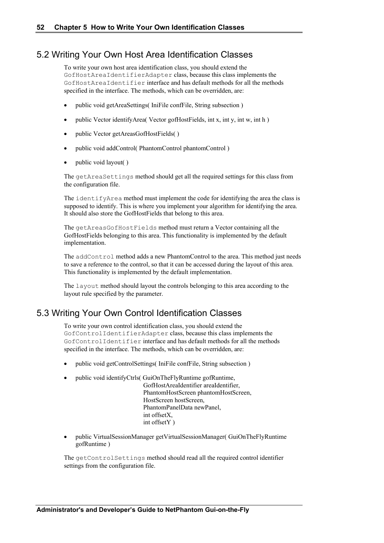### 5.2 Writing Your Own Host Area Identification Classes

To write your own host area identification class, you should extend the GofHostAreaIdentifierAdapter class, because this class implements the GofHostAreaIdentifier interface and has default methods for all the methods specified in the interface. The methods, which can be overridden, are:

- public void getAreaSettings( IniFile confFile, String subsection )
- public Vector identifyArea( Vector gofHostFields, int x, int y, int w, int h )
- public Vector getAreasGofHostFields( )
- public void addControl( PhantomControl phantomControl )
- public void layout()

The getAreaSettings method should get all the required settings for this class from the configuration file.

The identifyArea method must implement the code for identifying the area the class is supposed to identify. This is where you implement your algorithm for identifying the area. It should also store the GofHostFields that belong to this area.

The getAreasGofHostFields method must return a Vector containing all the GofHostFields belonging to this area. This functionality is implemented by the default implementation.

The addControl method adds a new PhantomControl to the area. This method just needs to save a reference to the control, so that it can be accessed during the layout of this area. This functionality is implemented by the default implementation.

The layout method should layout the controls belonging to this area according to the layout rule specified by the parameter.

### 5.3 Writing Your Own Control Identification Classes

To write your own control identification class, you should extend the GofControlIdentifierAdapter class, because this class implements the GofControlIdentifier interface and has default methods for all the methods specified in the interface. The methods, which can be overridden, are:

- public void getControlSettings( IniFile confFile, String subsection )
- public void identifyCtrls( GuiOnTheFlyRuntime gofRuntime,
	- GofHostAreaIdentifier areaIdentifier, PhantomHostScreen phantomHostScreen, HostScreen hostScreen, PhantomPanelData newPanel, int offsetX, int offsetY )
- public VirtualSessionManager getVirtualSessionManager( GuiOnTheFlyRuntime gofRuntime )

The getControlSettings method should read all the required control identifier settings from the configuration file.